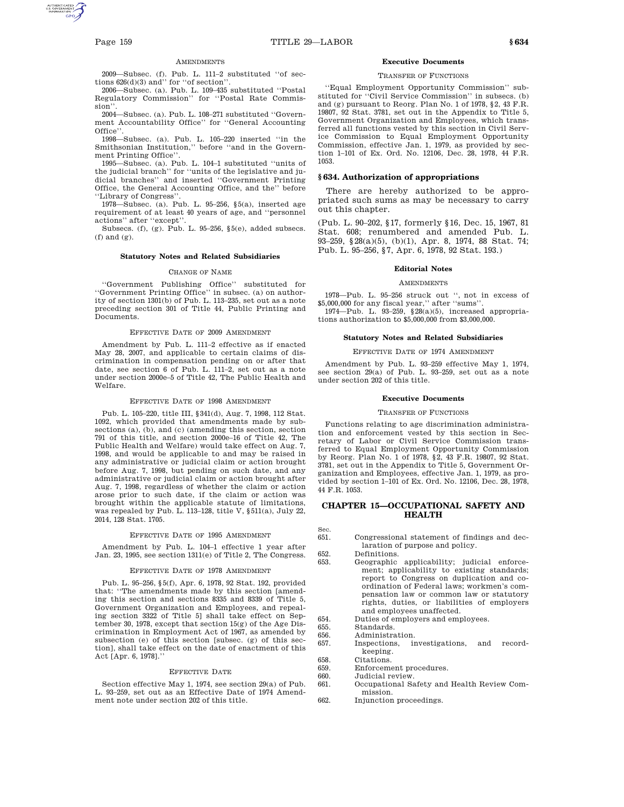2009—Subsec. (f). Pub. L. 111–2 substituted ''of sections 626(d)(3) and'' for ''of section''.

2006—Subsec. (a). Pub. L. 109–435 substituted ''Postal Regulatory Commission'' for ''Postal Rate Commission'

2004—Subsec. (a). Pub. L. 108–271 substituted ''Government Accountability Office'' for ''General Accounting Office''.

1998—Subsec. (a). Pub. L. 105–220 inserted ''in the Smithsonian Institution,'' before ''and in the Government Printing Office''.

1995—Subsec. (a). Pub. L. 104–1 substituted ''units of the judicial branch'' for ''units of the legislative and judicial branches'' and inserted ''Government Printing Office, the General Accounting Office, and the'' before ''Library of Congress''.

1978—Subsec. (a). Pub. L. 95–256, §5(a), inserted age requirement of at least 40 years of age, and ''personnel actions'' after ''except''.

Subsecs. (f), (g). Pub. L. 95–256, §5(e), added subsecs. (f) and (g).

#### **Statutory Notes and Related Subsidiaries**

#### CHANGE OF NAME

''Government Publishing Office'' substituted for ''Government Printing Office'' in subsec. (a) on authority of section 1301(b) of Pub. L. 113–235, set out as a note preceding section 301 of Title 44, Public Printing and Documents.

#### EFFECTIVE DATE OF 2009 AMENDMENT

Amendment by Pub. L. 111–2 effective as if enacted May 28, 2007, and applicable to certain claims of discrimination in compensation pending on or after that date, see section 6 of Pub. L. 111–2, set out as a note under section 2000e–5 of Title 42, The Public Health and Welfare.

#### EFFECTIVE DATE OF 1998 AMENDMENT

Pub. L. 105–220, title III, §341(d), Aug. 7, 1998, 112 Stat. 1092, which provided that amendments made by subsections (a), (b), and (c) (amending this section, section 791 of this title, and section 2000e–16 of Title 42, The Public Health and Welfare) would take effect on Aug. 7, 1998, and would be applicable to and may be raised in any administrative or judicial claim or action brought before Aug. 7, 1998, but pending on such date, and any administrative or judicial claim or action brought after Aug. 7, 1998, regardless of whether the claim or action arose prior to such date, if the claim or action was brought within the applicable statute of limitations, was repealed by Pub. L. 113–128, title V, §511(a), July 22, 2014, 128 Stat. 1705.

#### EFFECTIVE DATE OF 1995 AMENDMENT

Amendment by Pub. L. 104–1 effective 1 year after Jan. 23, 1995, see section 1311(e) of Title 2, The Congress.

### EFFECTIVE DATE OF 1978 AMENDMENT

Pub. L. 95–256, §5(f), Apr. 6, 1978, 92 Stat. 192, provided that: ''The amendments made by this section [amending this section and sections 8335 and 8339 of Title 5, Government Organization and Employees, and repealing section 3322 of Title 5] shall take effect on September 30, 1978, except that section 15(g) of the Age Discrimination in Employment Act of 1967, as amended by subsection (e) of this section [subsec. (g) of this section], shall take effect on the date of enactment of this Act [Apr. 6, 1978].''

#### EFFECTIVE DATE

Section effective May 1, 1974, see section 29(a) of Pub. L. 93–259, set out as an Effective Date of 1974 Amendment note under section 202 of this title.

#### **Executive Documents**

#### TRANSFER OF FUNCTIONS

''Equal Employment Opportunity Commission'' substituted for ''Civil Service Commission'' in subsecs. (b) and (g) pursuant to Reorg. Plan No. 1 of 1978, §2, 43 F.R. 19807, 92 Stat. 3781, set out in the Appendix to Title 5, Government Organization and Employees, which transferred all functions vested by this section in Civil Service Commission to Equal Employment Opportunity Commission, effective Jan. 1, 1979, as provided by section 1–101 of Ex. Ord. No. 12106, Dec. 28, 1978, 44 F.R. 1053.

### **§ 634. Authorization of appropriations**

There are hereby authorized to be appropriated such sums as may be necessary to carry out this chapter.

(Pub. L. 90–202, §17, formerly §16, Dec. 15, 1967, 81 Stat. 608; renumbered and amended Pub. L. 93–259, §28(a)(5), (b)(1), Apr. 8, 1974, 88 Stat. 74; Pub. L. 95–256, §7, Apr. 6, 1978, 92 Stat. 193.)

### **Editorial Notes**

#### **AMENDMENTS**

1978—Pub. L. 95–256 struck out '', not in excess of \$5,000,000 for any fiscal year,'' after ''sums''.

1974—Pub. L. 93–259, §28(a)(5), increased appropriations authorization to \$5,000,000 from \$3,000,000.

#### **Statutory Notes and Related Subsidiaries**

#### EFFECTIVE DATE OF 1974 AMENDMENT

Amendment by Pub. L. 93–259 effective May 1, 1974, see section 29(a) of Pub. L. 93-259, set out as a note under section 202 of this title.

### **Executive Documents**

### TRANSFER OF FUNCTIONS

Functions relating to age discrimination administration and enforcement vested by this section in Secretary of Labor or Civil Service Commission transferred to Equal Employment Opportunity Commission by Reorg. Plan No. 1 of 1978, §2, 43 F.R. 19807, 92 Stat. 3781, set out in the Appendix to Title 5, Government Organization and Employees, effective Jan. 1, 1979, as provided by section 1–101 of Ex. Ord. No. 12106, Dec. 28, 1978, 44 F.R. 1053.

### **CHAPTER 15—OCCUPATIONAL SAFETY AND HEALTH**

- Sec.
- 651. Congressional statement of findings and declaration of purpose and policy.

652. Definitions.

- 653. Geographic applicability; judicial enforcement; applicability to existing standards; report to Congress on duplication and coordination of Federal laws; workmen's compensation law or common law or statutory rights, duties, or liabilities of employers and employees unaffected.
- 654. Duties of employers and employees.<br>655. Standards.
- Standards.
- 
- 656. Administration.<br>657. Inspections, in investigations, and recordkeeping.
	-
- 658. Citations. 659. Enforcement procedures.<br>660 Judicial review
	- 660. Judicial review.
- 661. Occupational Safety and Health Review Commission.
- 662. Injunction proceedings.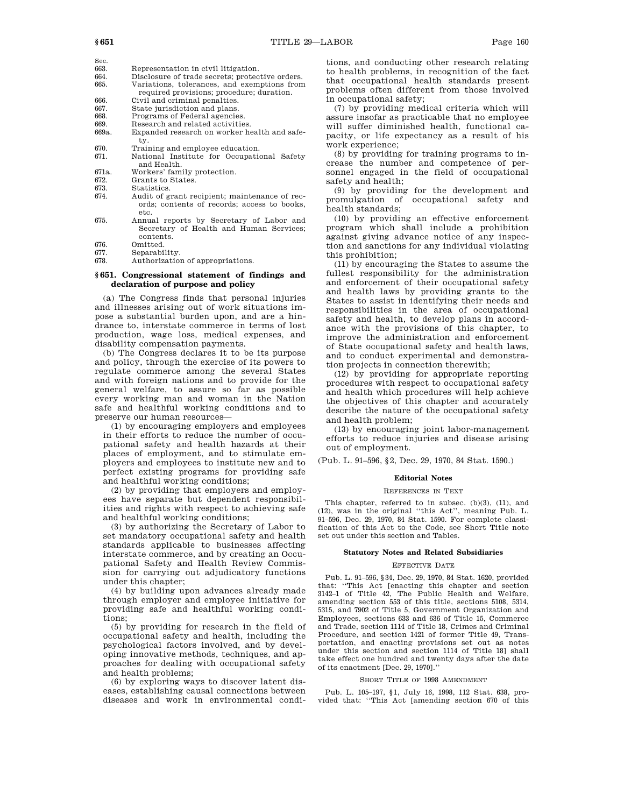| Sec.  |                                                                                                       |
|-------|-------------------------------------------------------------------------------------------------------|
| 663.  | Representation in civil litigation.                                                                   |
| 664.  | Disclosure of trade secrets; protective orders.                                                       |
| 665.  | Variations, tolerances, and exemptions from                                                           |
|       | required provisions; procedure; duration.                                                             |
| 666.  | Civil and criminal penalties.                                                                         |
| 667.  | State jurisdiction and plans.                                                                         |
| 668.  | Programs of Federal agencies.                                                                         |
| 669.  | Research and related activities.                                                                      |
| 669a. | Expanded research on worker health and safe-<br>tv.                                                   |
| 670.  | Training and employee education.                                                                      |
| 671.  | National Institute for Occupational Safety<br>and Health.                                             |
| 671a. | Workers' family protection.                                                                           |
| 672.  | Grants to States.                                                                                     |
| 673.  | Statistics                                                                                            |
| 674.  | Audit of grant recipient; maintenance of rec-<br>ords; contents of records; access to books,<br>et.c. |
| 675.  | Annual reports by Secretary of Labor and<br>Secretary of Health and Human Services;<br>contents.      |
| 676.  | Omitted.                                                                                              |
| 677.  | Separability.                                                                                         |
| 678.  | Authorization of appropriations.                                                                      |
|       |                                                                                                       |

# **§ 651. Congressional statement of findings and declaration of purpose and policy**

(a) The Congress finds that personal injuries and illnesses arising out of work situations impose a substantial burden upon, and are a hindrance to, interstate commerce in terms of lost production, wage loss, medical expenses, and disability compensation payments.

(b) The Congress declares it to be its purpose and policy, through the exercise of its powers to regulate commerce among the several States and with foreign nations and to provide for the general welfare, to assure so far as possible every working man and woman in the Nation safe and healthful working conditions and to preserve our human resources—

(1) by encouraging employers and employees in their efforts to reduce the number of occupational safety and health hazards at their places of employment, and to stimulate employers and employees to institute new and to perfect existing programs for providing safe and healthful working conditions;

(2) by providing that employers and employees have separate but dependent responsibilities and rights with respect to achieving safe and healthful working conditions;

(3) by authorizing the Secretary of Labor to set mandatory occupational safety and health standards applicable to businesses affecting interstate commerce, and by creating an Occupational Safety and Health Review Commission for carrying out adjudicatory functions under this chapter;

(4) by building upon advances already made through employer and employee initiative for providing safe and healthful working conditions;

(5) by providing for research in the field of occupational safety and health, including the psychological factors involved, and by developing innovative methods, techniques, and approaches for dealing with occupational safety and health problems;

(6) by exploring ways to discover latent diseases, establishing causal connections between diseases and work in environmental conditions, and conducting other research relating to health problems, in recognition of the fact that occupational health standards present problems often different from those involved in occupational safety;

(7) by providing medical criteria which will assure insofar as practicable that no employee will suffer diminished health, functional capacity, or life expectancy as a result of his work experience;

(8) by providing for training programs to increase the number and competence of personnel engaged in the field of occupational safety and health;

(9) by providing for the development and promulgation of occupational safety and health standards;

(10) by providing an effective enforcement program which shall include a prohibition against giving advance notice of any inspection and sanctions for any individual violating this prohibition;

(11) by encouraging the States to assume the fullest responsibility for the administration and enforcement of their occupational safety and health laws by providing grants to the States to assist in identifying their needs and responsibilities in the area of occupational safety and health, to develop plans in accordance with the provisions of this chapter, to improve the administration and enforcement of State occupational safety and health laws, and to conduct experimental and demonstration projects in connection therewith;

(12) by providing for appropriate reporting procedures with respect to occupational safety and health which procedures will help achieve the objectives of this chapter and accurately describe the nature of the occupational safety and health problem;

(13) by encouraging joint labor-management efforts to reduce injuries and disease arising out of employment.

(Pub. L. 91–596, §2, Dec. 29, 1970, 84 Stat. 1590.)

# **Editorial Notes**

### REFERENCES IN TEXT

This chapter, referred to in subsec. (b)(3), (11), and (12), was in the original ''this Act'', meaning Pub. L. 91–596, Dec. 29, 1970, 84 Stat. 1590. For complete classification of this Act to the Code, see Short Title note set out under this section and Tables.

# **Statutory Notes and Related Subsidiaries**

# EFFECTIVE DATE

Pub. L. 91–596, §34, Dec. 29, 1970, 84 Stat. 1620, provided that: ''This Act [enacting this chapter and section 3142–1 of Title 42, The Public Health and Welfare, amending section 553 of this title, sections 5108, 5314, 5315, and 7902 of Title 5, Government Organization and Employees, sections 633 and 636 of Title 15, Commerce and Trade, section 1114 of Title 18, Crimes and Criminal Procedure, and section 1421 of former Title 49, Transportation, and enacting provisions set out as notes under this section and section 1114 of Title 18] shall take effect one hundred and twenty days after the date of its enactment [Dec. 29, 1970].''

# SHORT TITLE OF 1998 AMENDMENT

Pub. L. 105–197, §1, July 16, 1998, 112 Stat. 638, provided that: ''This Act [amending section 670 of this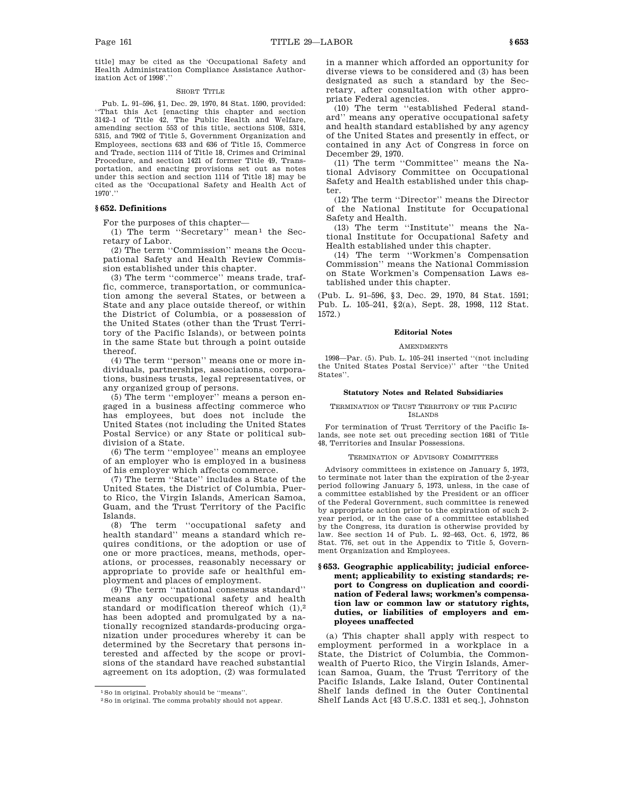title] may be cited as the 'Occupational Safety and Health Administration Compliance Assistance Authorization Act of 1998'.''

### SHORT TITLE

Pub. L. 91–596, §1, Dec. 29, 1970, 84 Stat. 1590, provided: ''That this Act [enacting this chapter and section 3142–1 of Title 42, The Public Health and Welfare, amending section 553 of this title, sections 5108, 5314, 5315, and 7902 of Title 5, Government Organization and Employees, sections 633 and 636 of Title 15, Commerce and Trade, section 1114 of Title 18, Crimes and Criminal Procedure, and section 1421 of former Title 49, Transportation, and enacting provisions set out as notes under this section and section 1114 of Title 18] may be cited as the 'Occupational Safety and Health Act of  $1970'$ .

### **§ 652. Definitions**

For the purposes of this chapter—

(1) The term "Secretary" mean<sup>1</sup> the Secretary of Labor.

(2) The term ''Commission'' means the Occupational Safety and Health Review Commission established under this chapter.

(3) The term ''commerce'' means trade, traffic, commerce, transportation, or communication among the several States, or between a State and any place outside thereof, or within the District of Columbia, or a possession of the United States (other than the Trust Territory of the Pacific Islands), or between points in the same State but through a point outside thereof.

(4) The term ''person'' means one or more individuals, partnerships, associations, corporations, business trusts, legal representatives, or any organized group of persons.

(5) The term ''employer'' means a person engaged in a business affecting commerce who has employees, but does not include the United States (not including the United States Postal Service) or any State or political subdivision of a State.

(6) The term ''employee'' means an employee of an employer who is employed in a business of his employer which affects commerce.

(7) The term ''State'' includes a State of the United States, the District of Columbia, Puerto Rico, the Virgin Islands, American Samoa, Guam, and the Trust Territory of the Pacific Islands.

(8) The term ''occupational safety and health standard'' means a standard which requires conditions, or the adoption or use of one or more practices, means, methods, operations, or processes, reasonably necessary or appropriate to provide safe or healthful employment and places of employment.

(9) The term ''national consensus standard'' means any occupational safety and health standard or modification thereof which  $(1)$ ,<sup>2</sup> has been adopted and promulgated by a nationally recognized standards-producing organization under procedures whereby it can be determined by the Secretary that persons interested and affected by the scope or provisions of the standard have reached substantial agreement on its adoption, (2) was formulated

in a manner which afforded an opportunity for diverse views to be considered and (3) has been designated as such a standard by the Secretary, after consultation with other appropriate Federal agencies.

(10) The term ''established Federal standard'' means any operative occupational safety and health standard established by any agency of the United States and presently in effect, or contained in any Act of Congress in force on December 29, 1970.

(11) The term ''Committee'' means the National Advisory Committee on Occupational Safety and Health established under this chapter.

(12) The term ''Director'' means the Director of the National Institute for Occupational Safety and Health.

(13) The term ''Institute'' means the National Institute for Occupational Safety and Health established under this chapter.

(14) The term ''Workmen's Compensation Commission'' means the National Commission on State Workmen's Compensation Laws established under this chapter.

(Pub. L. 91–596, §3, Dec. 29, 1970, 84 Stat. 1591; Pub. L. 105–241, §2(a), Sept. 28, 1998, 112 Stat. 1572.)

#### **Editorial Notes**

#### AMENDMENTS

1998—Par. (5). Pub. L. 105–241 inserted ''(not including the United States Postal Service)'' after ''the United States''.

### **Statutory Notes and Related Subsidiaries**

#### TERMINATION OF TRUST TERRITORY OF THE PACIFIC ISLANDS

For termination of Trust Territory of the Pacific Islands, see note set out preceding section 1681 of Title 48, Territories and Insular Possessions.

#### TERMINATION OF ADVISORY COMMITTEES

Advisory committees in existence on January 5, 1973, to terminate not later than the expiration of the 2-year period following January 5, 1973, unless, in the case of a committee established by the President or an officer of the Federal Government, such committee is renewed by appropriate action prior to the expiration of such 2 year period, or in the case of a committee established by the Congress, its duration is otherwise provided by law. See section 14 of Pub. L. 92–463, Oct. 6, 1972, 86 Stat. 776, set out in the Appendix to Title 5, Government Organization and Employees.

(a) This chapter shall apply with respect to employment performed in a workplace in a State, the District of Columbia, the Commonwealth of Puerto Rico, the Virgin Islands, American Samoa, Guam, the Trust Territory of the Pacific Islands, Lake Island, Outer Continental Shelf lands defined in the Outer Continental Shelf Lands Act [43 U.S.C. 1331 et seq.], Johnston

<sup>1</sup>So in original. Probably should be ''means''.

<sup>2</sup>So in original. The comma probably should not appear.

**<sup>§ 653.</sup> Geographic applicability; judicial enforcement; applicability to existing standards; report to Congress on duplication and coordination of Federal laws; workmen's compensation law or common law or statutory rights, duties, or liabilities of employers and employees unaffected**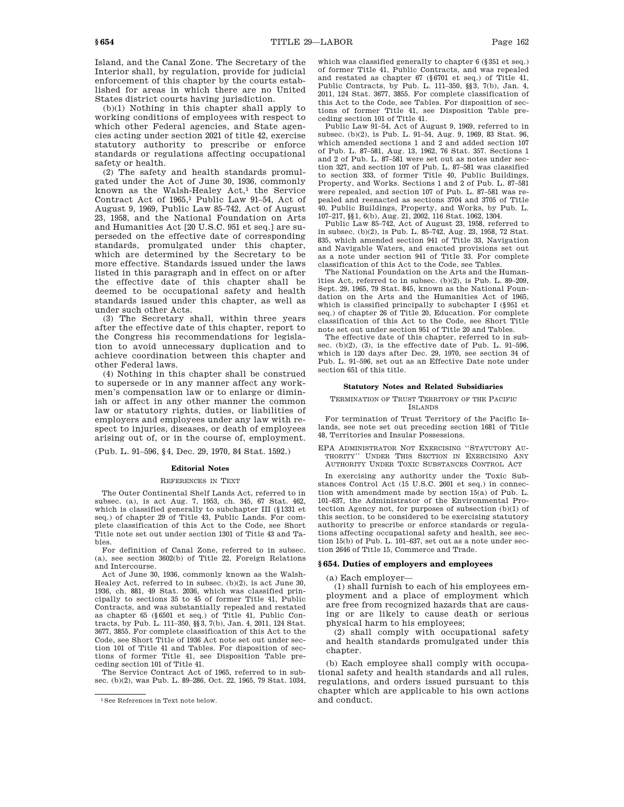Island, and the Canal Zone. The Secretary of the Interior shall, by regulation, provide for judicial enforcement of this chapter by the courts established for areas in which there are no United States district courts having jurisdiction.

(b)(1) Nothing in this chapter shall apply to working conditions of employees with respect to which other Federal agencies, and State agencies acting under section 2021 of title 42, exercise statutory authority to prescribe or enforce standards or regulations affecting occupational safety or health.

(2) The safety and health standards promulgated under the Act of June 30, 1936, commonly known as the Walsh-Healey Act,1 the Service Contract Act of 1965,1 Public Law 91–54, Act of August 9, 1969, Public Law 85–742, Act of August 23, 1958, and the National Foundation on Arts and Humanities Act [20 U.S.C. 951 et seq.] are superseded on the effective date of corresponding standards, promulgated under this chapter, which are determined by the Secretary to be more effective. Standards issued under the laws listed in this paragraph and in effect on or after the effective date of this chapter shall be deemed to be occupational safety and health standards issued under this chapter, as well as under such other Acts.

(3) The Secretary shall, within three years after the effective date of this chapter, report to the Congress his recommendations for legislation to avoid unnecessary duplication and to achieve coordination between this chapter and other Federal laws.

(4) Nothing in this chapter shall be construed to supersede or in any manner affect any workmen's compensation law or to enlarge or diminish or affect in any other manner the common law or statutory rights, duties, or liabilities of employers and employees under any law with respect to injuries, diseases, or death of employees arising out of, or in the course of, employment.

(Pub. L. 91–596, §4, Dec. 29, 1970, 84 Stat. 1592.)

#### **Editorial Notes**

#### REFERENCES IN TEXT

The Outer Continental Shelf Lands Act, referred to in subsec. (a), is act Aug. 7, 1953, ch. 345, 67 Stat. 462, which is classified generally to subchapter III (§1331 et seq.) of chapter 29 of Title 43, Public Lands. For complete classification of this Act to the Code, see Short Title note set out under section 1301 of Title 43 and Tables.

For definition of Canal Zone, referred to in subsec. (a), see section 3602(b) of Title 22, Foreign Relations and Intercourse.

Act of June 30, 1936, commonly known as the Walsh-Healey Act, referred to in subsec. (b)(2), is act June 30, 1936, ch. 881, 49 Stat. 2036, which was classified principally to sections 35 to 45 of former Title 41, Public Contracts, and was substantially repealed and restated as chapter 65 (§6501 et seq.) of Title 41, Public Contracts, by Pub. L. 111–350, §§3, 7(b), Jan. 4, 2011, 124 Stat. 3677, 3855. For complete classification of this Act to the Code, see Short Title of 1936 Act note set out under section 101 of Title 41 and Tables. For disposition of sections of former Title 41, see Disposition Table preceding section 101 of Title 41.

The Service Contract Act of 1965, referred to in subsec. (b)(2), was Pub. L. 89–286, Oct. 22, 1965, 79 Stat. 1034, which was classified generally to chapter 6 (§351 et seq.) of former Title 41, Public Contracts, and was repealed and restated as chapter 67 (§6701 et seq.) of Title 41, Public Contracts, by Pub. L. 111–350, §§3, 7(b), Jan. 4, 2011, 124 Stat. 3677, 3855. For complete classification of this Act to the Code, see Tables. For disposition of sections of former Title 41, see Disposition Table preceding section 101 of Title 41.

Public Law 91–54, Act of August 9, 1969, referred to in subsec. (b)(2), is Pub. L. 91–54, Aug. 9, 1969, 83 Stat. 96, which amended sections 1 and 2 and added section 107 of Pub. L. 87–581, Aug. 13, 1962, 76 Stat. 357. Sections 1 and 2 of Pub. L. 87–581 were set out as notes under section 327, and section 107 of Pub. L. 87–581 was classified to section 333, of former Title 40, Public Buildings, Property, and Works. Sections 1 and 2 of Pub. L. 87–581 were repealed, and section 107 of Pub. L. 87–581 was repealed and reenacted as sections 3704 and 3705 of Title 40, Public Buildings, Property, and Works, by Pub. L.

107–217, §§1, 6(b), Aug. 21, 2002, 116 Stat. 1062, 1304. Public Law 85–742, Act of August 23, 1958, referred to in subsec. (b)(2), is Pub. L. 85–742, Aug. 23, 1958, 72 Stat. 835, which amended section 941 of Title 33, Navigation and Navigable Waters, and enacted provisions set out as a note under section 941 of Title 33. For complete classification of this Act to the Code, see Tables.

The National Foundation on the Arts and the Humanities Act, referred to in subsec. (b)(2), is Pub. L. 89–209, Sept. 29, 1965, 79 Stat. 845, known as the National Foundation on the Arts and the Humanities Act of 1965, which is classified principally to subchapter I (§951 et seq.) of chapter 26 of Title 20, Education. For complete classification of this Act to the Code, see Short Title note set out under section 951 of Title 20 and Tables.

The effective date of this chapter, referred to in subsec.  $(b)(2)$ ,  $(3)$ , is the effective date of Pub. L. 91–596, which is 120 days after Dec. 29, 1970, see section 34 of Pub. L. 91–596, set out as an Effective Date note under section 651 of this title.

### **Statutory Notes and Related Subsidiaries**

#### TERMINATION OF TRUST TERRITORY OF THE PACIFIC ISLANDS

For termination of Trust Territory of the Pacific Islands, see note set out preceding section 1681 of Title 48, Territories and Insular Possessions.

EPA ADMINISTRATOR NOT EXERCISING ''STATUTORY AU-THORITY'' UNDER THIS SECTION IN EXERCISING ANY AUTHORITY UNDER TOXIC SUBSTANCES CONTROL ACT

In exercising any authority under the Toxic Substances Control Act (15 U.S.C. 2601 et seq.) in connection with amendment made by section 15(a) of Pub. L. 101–637, the Administrator of the Environmental Protection Agency not, for purposes of subsection (b)(1) of this section, to be considered to be exercising statutory authority to prescribe or enforce standards or regulations affecting occupational safety and health, see section 15(b) of Pub. L. 101–637, set out as a note under section 2646 of Title 15, Commerce and Trade.

### **§ 654. Duties of employers and employees**

(a) Each employer—

(1) shall furnish to each of his employees employment and a place of employment which are free from recognized hazards that are causing or are likely to cause death or serious physical harm to his employees;

(2) shall comply with occupational safety and health standards promulgated under this chapter.

(b) Each employee shall comply with occupational safety and health standards and all rules, regulations, and orders issued pursuant to this chapter which are applicable to his own actions and conduct.

<sup>1</sup>See References in Text note below.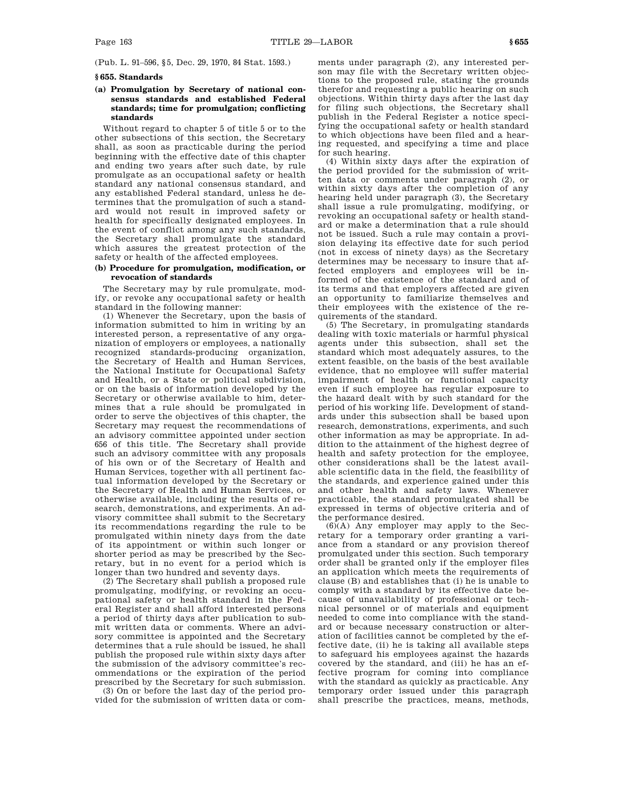(Pub. L. 91–596, §5, Dec. 29, 1970, 84 Stat. 1593.)

### **§ 655. Standards**

### **(a) Promulgation by Secretary of national consensus standards and established Federal standards; time for promulgation; conflicting standards**

Without regard to chapter 5 of title 5 or to the other subsections of this section, the Secretary shall, as soon as practicable during the period beginning with the effective date of this chapter and ending two years after such date, by rule promulgate as an occupational safety or health standard any national consensus standard, and any established Federal standard, unless he determines that the promulgation of such a standard would not result in improved safety or health for specifically designated employees. In the event of conflict among any such standards, the Secretary shall promulgate the standard which assures the greatest protection of the safety or health of the affected employees.

### **(b) Procedure for promulgation, modification, or revocation of standards**

The Secretary may by rule promulgate, modify, or revoke any occupational safety or health standard in the following manner:

(1) Whenever the Secretary, upon the basis of information submitted to him in writing by an interested person, a representative of any organization of employers or employees, a nationally recognized standards-producing organization, the Secretary of Health and Human Services, the National Institute for Occupational Safety and Health, or a State or political subdivision, or on the basis of information developed by the Secretary or otherwise available to him, determines that a rule should be promulgated in order to serve the objectives of this chapter, the Secretary may request the recommendations of an advisory committee appointed under section 656 of this title. The Secretary shall provide such an advisory committee with any proposals of his own or of the Secretary of Health and Human Services, together with all pertinent factual information developed by the Secretary or the Secretary of Health and Human Services, or otherwise available, including the results of research, demonstrations, and experiments. An advisory committee shall submit to the Secretary its recommendations regarding the rule to be promulgated within ninety days from the date of its appointment or within such longer or shorter period as may be prescribed by the Secretary, but in no event for a period which is longer than two hundred and seventy days.

(2) The Secretary shall publish a proposed rule promulgating, modifying, or revoking an occupational safety or health standard in the Federal Register and shall afford interested persons a period of thirty days after publication to submit written data or comments. Where an advisory committee is appointed and the Secretary determines that a rule should be issued, he shall publish the proposed rule within sixty days after the submission of the advisory committee's recommendations or the expiration of the period prescribed by the Secretary for such submission. (3) On or before the last day of the period pro-

vided for the submission of written data or com-

ments under paragraph (2), any interested person may file with the Secretary written objections to the proposed rule, stating the grounds therefor and requesting a public hearing on such objections. Within thirty days after the last day for filing such objections, the Secretary shall publish in the Federal Register a notice specifying the occupational safety or health standard to which objections have been filed and a hearing requested, and specifying a time and place for such hearing.

(4) Within sixty days after the expiration of the period provided for the submission of written data or comments under paragraph (2), or within sixty days after the completion of any hearing held under paragraph (3), the Secretary shall issue a rule promulgating, modifying, or revoking an occupational safety or health standard or make a determination that a rule should not be issued. Such a rule may contain a provision delaying its effective date for such period (not in excess of ninety days) as the Secretary determines may be necessary to insure that affected employers and employees will be informed of the existence of the standard and of its terms and that employers affected are given an opportunity to familiarize themselves and their employees with the existence of the requirements of the standard.

(5) The Secretary, in promulgating standards dealing with toxic materials or harmful physical agents under this subsection, shall set the standard which most adequately assures, to the extent feasible, on the basis of the best available evidence, that no employee will suffer material impairment of health or functional capacity even if such employee has regular exposure to the hazard dealt with by such standard for the period of his working life. Development of standards under this subsection shall be based upon research, demonstrations, experiments, and such other information as may be appropriate. In addition to the attainment of the highest degree of health and safety protection for the employee, other considerations shall be the latest available scientific data in the field, the feasibility of the standards, and experience gained under this and other health and safety laws. Whenever practicable, the standard promulgated shall be expressed in terms of objective criteria and of the performance desired.

(6)(A) Any employer may apply to the Secretary for a temporary order granting a variance from a standard or any provision thereof promulgated under this section. Such temporary order shall be granted only if the employer files an application which meets the requirements of clause (B) and establishes that (i) he is unable to comply with a standard by its effective date because of unavailability of professional or technical personnel or of materials and equipment needed to come into compliance with the standard or because necessary construction or alteration of facilities cannot be completed by the effective date, (ii) he is taking all available steps to safeguard his employees against the hazards covered by the standard, and (iii) he has an effective program for coming into compliance with the standard as quickly as practicable. Any temporary order issued under this paragraph shall prescribe the practices, means, methods,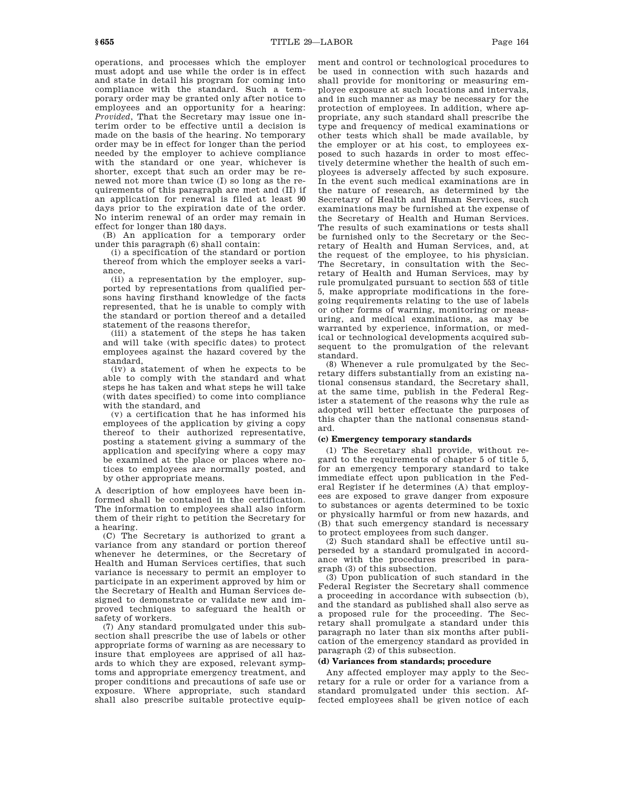operations, and processes which the employer must adopt and use while the order is in effect and state in detail his program for coming into compliance with the standard. Such a temporary order may be granted only after notice to employees and an opportunity for a hearing: *Provided*, That the Secretary may issue one interim order to be effective until a decision is made on the basis of the hearing. No temporary order may be in effect for longer than the period needed by the employer to achieve compliance with the standard or one year, whichever is shorter, except that such an order may be renewed not more than twice (I) so long as the requirements of this paragraph are met and (II) if an application for renewal is filed at least 90 days prior to the expiration date of the order. No interim renewal of an order may remain in effect for longer than 180 days.

(B) An application for a temporary order under this paragraph (6) shall contain:

(i) a specification of the standard or portion thereof from which the employer seeks a variance,

(ii) a representation by the employer, supported by representations from qualified persons having firsthand knowledge of the facts represented, that he is unable to comply with the standard or portion thereof and a detailed statement of the reasons therefor,

(iii) a statement of the steps he has taken and will take (with specific dates) to protect employees against the hazard covered by the standard,

(iv) a statement of when he expects to be able to comply with the standard and what steps he has taken and what steps he will take (with dates specified) to come into compliance with the standard, and

(v) a certification that he has informed his employees of the application by giving a copy thereof to their authorized representative, posting a statement giving a summary of the application and specifying where a copy may be examined at the place or places where notices to employees are normally posted, and by other appropriate means.

A description of how employees have been informed shall be contained in the certification. The information to employees shall also inform them of their right to petition the Secretary for a hearing.

(C) The Secretary is authorized to grant a variance from any standard or portion thereof whenever he determines, or the Secretary of Health and Human Services certifies, that such variance is necessary to permit an employer to participate in an experiment approved by him or the Secretary of Health and Human Services designed to demonstrate or validate new and improved techniques to safeguard the health or safety of workers.

(7) Any standard promulgated under this subsection shall prescribe the use of labels or other appropriate forms of warning as are necessary to insure that employees are apprised of all hazards to which they are exposed, relevant symptoms and appropriate emergency treatment, and proper conditions and precautions of safe use or exposure. Where appropriate, such standard shall also prescribe suitable protective equipment and control or technological procedures to be used in connection with such hazards and shall provide for monitoring or measuring employee exposure at such locations and intervals, and in such manner as may be necessary for the protection of employees. In addition, where appropriate, any such standard shall prescribe the type and frequency of medical examinations or other tests which shall be made available, by the employer or at his cost, to employees exposed to such hazards in order to most effectively determine whether the health of such employees is adversely affected by such exposure. In the event such medical examinations are in the nature of research, as determined by the Secretary of Health and Human Services, such examinations may be furnished at the expense of the Secretary of Health and Human Services. The results of such examinations or tests shall be furnished only to the Secretary or the Secretary of Health and Human Services, and, at the request of the employee, to his physician. The Secretary, in consultation with the Secretary of Health and Human Services, may by rule promulgated pursuant to section 553 of title 5, make appropriate modifications in the foregoing requirements relating to the use of labels or other forms of warning, monitoring or measuring, and medical examinations, as may be warranted by experience, information, or medical or technological developments acquired subsequent to the promulgation of the relevant standard.

(8) Whenever a rule promulgated by the Secretary differs substantially from an existing national consensus standard, the Secretary shall, at the same time, publish in the Federal Register a statement of the reasons why the rule as adopted will better effectuate the purposes of this chapter than the national consensus standard.

# **(c) Emergency temporary standards**

(1) The Secretary shall provide, without regard to the requirements of chapter 5 of title 5, for an emergency temporary standard to take immediate effect upon publication in the Federal Register if he determines (A) that employees are exposed to grave danger from exposure to substances or agents determined to be toxic or physically harmful or from new hazards, and (B) that such emergency standard is necessary to protect employees from such danger.

(2) Such standard shall be effective until superseded by a standard promulgated in accordance with the procedures prescribed in paragraph (3) of this subsection.

(3) Upon publication of such standard in the Federal Register the Secretary shall commence a proceeding in accordance with subsection (b), and the standard as published shall also serve as a proposed rule for the proceeding. The Secretary shall promulgate a standard under this paragraph no later than six months after publication of the emergency standard as provided in paragraph (2) of this subsection.

### **(d) Variances from standards; procedure**

Any affected employer may apply to the Secretary for a rule or order for a variance from a standard promulgated under this section. Affected employees shall be given notice of each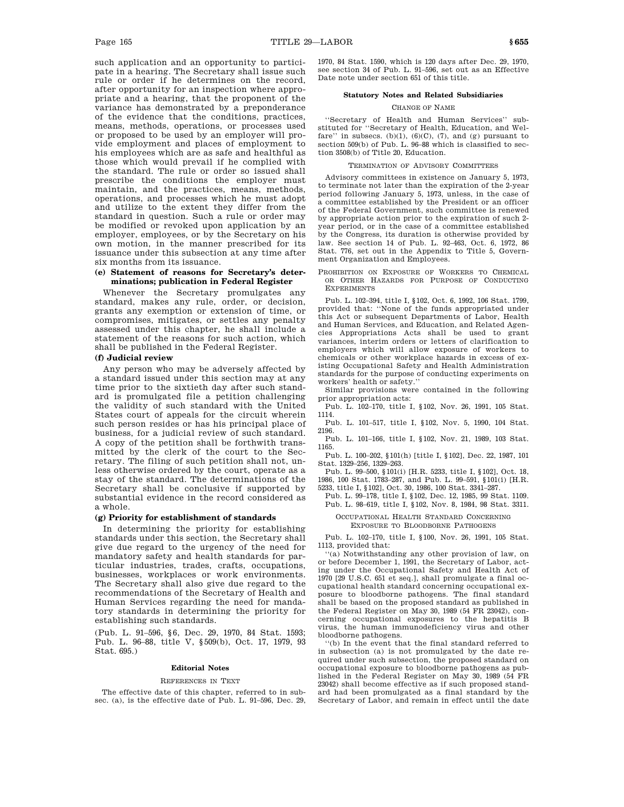such application and an opportunity to participate in a hearing. The Secretary shall issue such rule or order if he determines on the record, after opportunity for an inspection where appropriate and a hearing, that the proponent of the variance has demonstrated by a preponderance of the evidence that the conditions, practices, means, methods, operations, or processes used or proposed to be used by an employer will provide employment and places of employment to his employees which are as safe and healthful as those which would prevail if he complied with the standard. The rule or order so issued shall prescribe the conditions the employer must maintain, and the practices, means, methods, operations, and processes which he must adopt and utilize to the extent they differ from the standard in question. Such a rule or order may be modified or revoked upon application by an employer, employees, or by the Secretary on his own motion, in the manner prescribed for its issuance under this subsection at any time after six months from its issuance.

# **(e) Statement of reasons for Secretary's determinations; publication in Federal Register**

Whenever the Secretary promulgates any standard, makes any rule, order, or decision, grants any exemption or extension of time, or compromises, mitigates, or settles any penalty assessed under this chapter, he shall include a statement of the reasons for such action, which shall be published in the Federal Register.

# **(f) Judicial review**

Any person who may be adversely affected by a standard issued under this section may at any time prior to the sixtieth day after such standard is promulgated file a petition challenging the validity of such standard with the United States court of appeals for the circuit wherein such person resides or has his principal place of business, for a judicial review of such standard. A copy of the petition shall be forthwith transmitted by the clerk of the court to the Secretary. The filing of such petition shall not, unless otherwise ordered by the court, operate as a stay of the standard. The determinations of the Secretary shall be conclusive if supported by substantial evidence in the record considered as a whole.

#### **(g) Priority for establishment of standards**

In determining the priority for establishing standards under this section, the Secretary shall give due regard to the urgency of the need for mandatory safety and health standards for particular industries, trades, crafts, occupations, businesses, workplaces or work environments. The Secretary shall also give due regard to the recommendations of the Secretary of Health and Human Services regarding the need for mandatory standards in determining the priority for establishing such standards.

(Pub. L. 91–596, §6, Dec. 29, 1970, 84 Stat. 1593; Pub. L. 96–88, title V, §509(b), Oct. 17, 1979, 93 Stat. 695.)

#### **Editorial Notes**

#### REFERENCES IN TEXT

The effective date of this chapter, referred to in subsec. (a), is the effective date of Pub. L. 91–596, Dec. 29,

1970, 84 Stat. 1590, which is 120 days after Dec. 29, 1970, see section 34 of Pub. L. 91–596, set out as an Effective Date note under section 651 of this title.

### **Statutory Notes and Related Subsidiaries**

#### CHANGE OF NAME

''Secretary of Health and Human Services'' substituted for ''Secretary of Health, Education, and Welfare" in subsecs.  $(b)(1)$ ,  $(6)(C)$ ,  $(7)$ , and  $(g)$  pursuant to section 509(b) of Pub. L. 96–88 which is classified to section 3508(b) of Title 20, Education.

#### TERMINATION OF ADVISORY COMMITTEES

Advisory committees in existence on January 5, 1973, to terminate not later than the expiration of the 2-year period following January 5, 1973, unless, in the case of a committee established by the President or an officer of the Federal Government, such committee is renewed by appropriate action prior to the expiration of such 2 year period, or in the case of a committee established by the Congress, its duration is otherwise provided by law. See section 14 of Pub. L. 92–463, Oct. 6, 1972, 86 Stat. 776, set out in the Appendix to Title 5, Government Organization and Employees.

PROHIBITION ON EXPOSURE OF WORKERS TO CHEMICAL OR OTHER HAZARDS FOR PURPOSE OF CONDUCTING EXPERIMENTS

Pub. L. 102–394, title I, §102, Oct. 6, 1992, 106 Stat. 1799, provided that: ''None of the funds appropriated under this Act or subsequent Departments of Labor, Health and Human Services, and Education, and Related Agencies Appropriations Acts shall be used to grant variances, interim orders or letters of clarification to employers which will allow exposure of workers to chemicals or other workplace hazards in excess of existing Occupational Safety and Health Administration standards for the purpose of conducting experiments on workers' health or safety.

Similar provisions were contained in the following prior appropriation acts:

Pub. L. 102–170, title I, §102, Nov. 26, 1991, 105 Stat. 1114.

Pub. L. 101–517, title I, §102, Nov. 5, 1990, 104 Stat. 2196.

Pub. L. 101–166, title I, §102, Nov. 21, 1989, 103 Stat. 1165.

Pub. L. 100–202, §101(h) [title I, §102], Dec. 22, 1987, 101 Stat. 1329–256, 1329–263.

Pub. L. 99–500, §101(i) [H.R. 5233, title I, §102], Oct. 18, 1986, 100 Stat. 1783–287, and Pub. L. 99–591, §101(i) [H.R. 5233, title I, §102], Oct. 30, 1986, 100 Stat. 3341–287.

Pub. L. 99–178, title I, §102, Dec. 12, 1985, 99 Stat. 1109. Pub. L. 98–619, title I, §102, Nov. 8, 1984, 98 Stat. 3311.

OCCUPATIONAL HEALTH STANDARD CONCERNING EXPOSURE TO BLOODBORNE PATHOGENS

Pub. L. 102–170, title I, §100, Nov. 26, 1991, 105 Stat. 1113, provided that:

''(a) Notwithstanding any other provision of law, on or before December 1, 1991, the Secretary of Labor, acting under the Occupational Safety and Health Act of 1970 [29 U.S.C. 651 et seq.], shall promulgate a final occupational health standard concerning occupational exposure to bloodborne pathogens. The final standard shall be based on the proposed standard as published in the Federal Register on May 30, 1989 (54 FR 23042), concerning occupational exposures to the hepatitis B virus, the human immunodeficiency virus and other bloodborne pathogens.

''(b) In the event that the final standard referred to in subsection (a) is not promulgated by the date required under such subsection, the proposed standard on occupational exposure to bloodborne pathogens as published in the Federal Register on May 30, 1989 (54 FR 23042) shall become effective as if such proposed standard had been promulgated as a final standard by the Secretary of Labor, and remain in effect until the date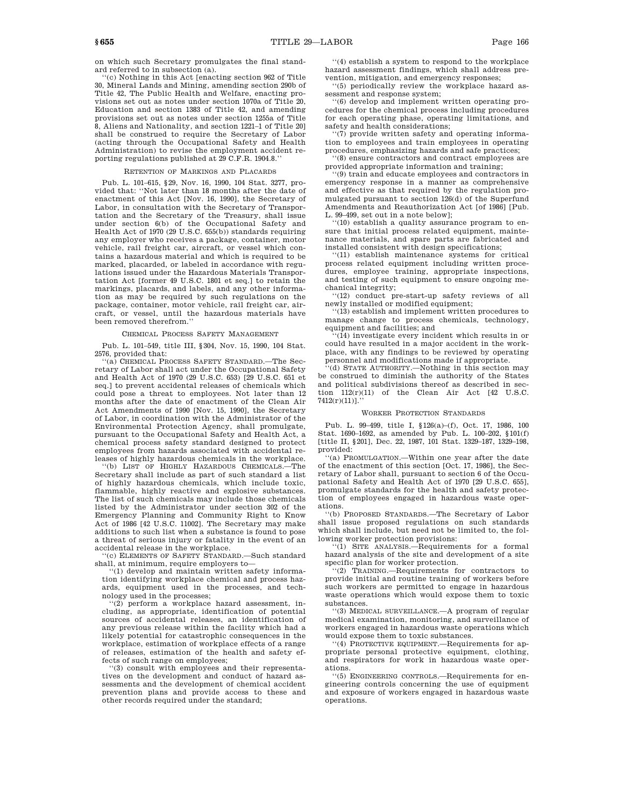on which such Secretary promulgates the final standard referred to in subsection (a).

''(c) Nothing in this Act [enacting section 962 of Title 30, Mineral Lands and Mining, amending section 290b of Title 42, The Public Health and Welfare, enacting provisions set out as notes under section 1070a of Title 20, Education and section 1383 of Title 42, and amending provisions set out as notes under section 1255a of Title 8, Aliens and Nationality, and section 1221–1 of Title 20] shall be construed to require the Secretary of Labor (acting through the Occupational Safety and Health Administration) to revise the employment accident reporting regulations published at 29 C.F.R. 1904.8.''

### RETENTION OF MARKINGS AND PLACARDS

Pub. L. 101–615, §29, Nov. 16, 1990, 104 Stat. 3277, provided that: ''Not later than 18 months after the date of enactment of this Act [Nov. 16, 1990], the Secretary of Labor, in consultation with the Secretary of Transportation and the Secretary of the Treasury, shall issue under section 6(b) of the Occupational Safety and Health Act of 1970 (29 U.S.C. 655(b)) standards requiring any employer who receives a package, container, motor vehicle, rail freight car, aircraft, or vessel which contains a hazardous material and which is required to be marked, placarded, or labeled in accordance with regulations issued under the Hazardous Materials Transportation Act [former 49 U.S.C. 1801 et seq.] to retain the markings, placards, and labels, and any other information as may be required by such regulations on the package, container, motor vehicle, rail freight car, aircraft, or vessel, until the hazardous materials have been removed therefrom.''

#### CHEMICAL PROCESS SAFETY MANAGEMENT

Pub. L. 101–549, title III, §304, Nov. 15, 1990, 104 Stat. 2576, provided that:

''(a) CHEMICAL PROCESS SAFETY STANDARD.—The Secretary of Labor shall act under the Occupational Safety and Health Act of 1970 (29 U.S.C. 653) [29 U.S.C. 651 et seq.] to prevent accidental releases of chemicals which could pose a threat to employees. Not later than 12 months after the date of enactment of the Clean Air Act Amendments of 1990 [Nov. 15, 1990], the Secretary of Labor, in coordination with the Administrator of the Environmental Protection Agency, shall promulgate, pursuant to the Occupational Safety and Health Act, a chemical process safety standard designed to protect employees from hazards associated with accidental releases of highly hazardous chemicals in the workplace.<br>
"(b) LIST OF HIGHLY HAZARDOUS CHEMICALS.—The

Secretary shall include as part of such standard a list of highly hazardous chemicals, which include toxic, flammable, highly reactive and explosive substances. The list of such chemicals may include those chemicals listed by the Administrator under section 302 of the Emergency Planning and Community Right to Know Act of 1986 [42 U.S.C. 11002]. The Secretary may make additions to such list when a substance is found to pose a threat of serious injury or fatality in the event of an accidental release in the workplace.

(c) ELEMENTS OF SAFETY STANDARD.—Such standard shall, at minimum, require employers to—

'(1) develop and maintain written safety information identifying workplace chemical and process hazards, equipment used in the processes, and technology used in the processes;

''(2) perform a workplace hazard assessment, including, as appropriate, identification of potential sources of accidental releases, an identification of any previous release within the facility which had a likely potential for catastrophic consequences in the workplace, estimation of workplace effects of a range of releases, estimation of the health and safety effects of such range on employees;

''(3) consult with employees and their representatives on the development and conduct of hazard assessments and the development of chemical accident prevention plans and provide access to these and other records required under the standard;

''(4) establish a system to respond to the workplace hazard assessment findings, which shall address prevention, mitigation, and emergency responses;

''(5) periodically review the workplace hazard assessment and response system;

''(6) develop and implement written operating procedures for the chemical process including procedures for each operating phase, operating limitations, and safety and health considerations;

''(7) provide written safety and operating information to employees and train employees in operating procedures, emphasizing hazards and safe practices;

''(8) ensure contractors and contract employees are provided appropriate information and training;

''(9) train and educate employees and contractors in emergency response in a manner as comprehensive and effective as that required by the regulation promulgated pursuant to section 126(d) of the Superfund Amendments and Reauthorization Act [of 1986] [Pub. L. 99–499, set out in a note below];

''(10) establish a quality assurance program to ensure that initial process related equipment, maintenance materials, and spare parts are fabricated and installed consistent with design specifications;

''(11) establish maintenance systems for critical process related equipment including written procedures, employee training, appropriate inspections, and testing of such equipment to ensure ongoing mechanical integrity;

''(12) conduct pre-start-up safety reviews of all newly installed or modified equipment;

''(13) establish and implement written procedures to manage change to process chemicals, technology, equipment and facilities; and

''(14) investigate every incident which results in or could have resulted in a major accident in the workplace, with any findings to be reviewed by operating personnel and modifications made if appropriate.

(d) STATE AUTHORITY.—Nothing in this section may be construed to diminish the authority of the States and political subdivisions thereof as described in section 112(r)(11) of the Clean Air Act [42 U.S.C. 7412(r)(11)].''

### WORKER PROTECTION STANDARDS

Pub. L. 99–499, title I, §126(a)–(f), Oct. 17, 1986, 100 Stat. 1690–1692, as amended by Pub. L. 100–202, §101(f) [title II, §201], Dec. 22, 1987, 101 Stat. 1329–187, 1329–198, provided:

''(a) PROMULGATION.—Within one year after the date of the enactment of this section [Oct. 17, 1986], the Secretary of Labor shall, pursuant to section 6 of the Occupational Safety and Health Act of 1970 [29 U.S.C. 655], promulgate standards for the health and safety protection of employees engaged in hazardous waste operations.

''(b) PROPOSED STANDARDS.—The Secretary of Labor shall issue proposed regulations on such standards which shall include, but need not be limited to, the following worker protection provisions:

''(1) SITE ANALYSIS.—Requirements for a formal hazard analysis of the site and development of a site specific plan for worker protection.

'(2) TRAINING.—Requirements for contractors to provide initial and routine training of workers before such workers are permitted to engage in hazardous waste operations which would expose them to toxic substances.

''(3) MEDICAL SURVEILLANCE.—A program of regular medical examination, monitoring, and surveillance of workers engaged in hazardous waste operations which would expose them to toxic substances.

''(4) PROTECTIVE EQUIPMENT.—Requirements for appropriate personal protective equipment, clothing, and respirators for work in hazardous waste operations.

''(5) ENGINEERING CONTROLS.—Requirements for engineering controls concerning the use of equipment and exposure of workers engaged in hazardous waste operations.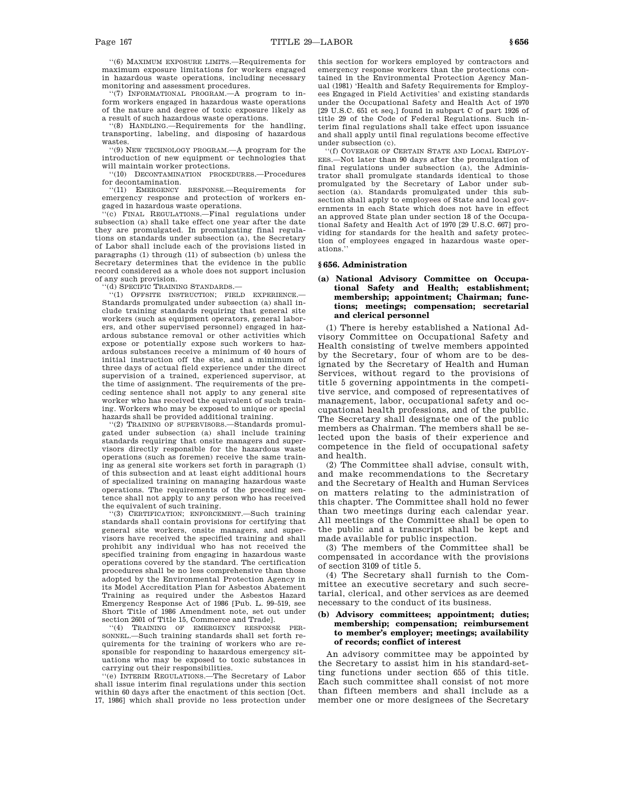''(6) MAXIMUM EXPOSURE LIMITS.—Requirements for maximum exposure limitations for workers engaged in hazardous waste operations, including necessary monitoring and assessment procedures.

''(7) INFORMATIONAL PROGRAM.—A program to inform workers engaged in hazardous waste operations of the nature and degree of toxic exposure likely as a result of such hazardous waste operations.

''(8) HANDLING.—Requirements for the handling, transporting, labeling, and disposing of hazardous wastes.

''(9) NEW TECHNOLOGY PROGRAM.—A program for the introduction of new equipment or technologies that will maintain worker protections.

''(10) DECONTAMINATION PROCEDURES.—Procedures for decontamination.

''(11) EMERGENCY RESPONSE.—Requirements for emergency response and protection of workers engaged in hazardous waste operations.

'(c) FINAL REGULATIONS.—Final regulations under subsection (a) shall take effect one year after the date they are promulgated. In promulgating final regulations on standards under subsection (a), the Secretary of Labor shall include each of the provisions listed in paragraphs (1) through (11) of subsection (b) unless the Secretary determines that the evidence in the public record considered as a whole does not support inclusion of any such provision.

''(d) SPECIFIC TRAINING STANDARDS.—

''(1) OFFSITE INSTRUCTION; FIELD EXPERIENCE.— Standards promulgated under subsection (a) shall include training standards requiring that general site workers (such as equipment operators, general laborers, and other supervised personnel) engaged in hazardous substance removal or other activities which expose or potentially expose such workers to hazardous substances receive a minimum of 40 hours of initial instruction off the site, and a minimum of three days of actual field experience under the direct supervision of a trained, experienced supervisor, at the time of assignment. The requirements of the preceding sentence shall not apply to any general site worker who has received the equivalent of such training. Workers who may be exposed to unique or special hazards shall be provided additional training.

''(2) TRAINING OF SUPERVISORS.—Standards promulgated under subsection (a) shall include training standards requiring that onsite managers and supervisors directly responsible for the hazardous waste operations (such as foremen) receive the same training as general site workers set forth in paragraph (1) of this subsection and at least eight additional hours of specialized training on managing hazardous waste operations. The requirements of the preceding sentence shall not apply to any person who has received the equivalent of such training.

''(3) CERTIFICATION; ENFORCEMENT.—Such training standards shall contain provisions for certifying that general site workers, onsite managers, and supervisors have received the specified training and shall prohibit any individual who has not received the specified training from engaging in hazardous waste operations covered by the standard. The certification procedures shall be no less comprehensive than those adopted by the Environmental Protection Agency in its Model Accreditation Plan for Asbestos Abatement Training as required under the Asbestos Hazard Emergency Response Act of 1986 [Pub. L. 99–519, see Short Title of 1986 Amendment note, set out under

section 2601 of Title 15, Commerce and Trade]. ''(4) TRAINING OF EMERGENCY RESPONSE PER-SONNEL.—Such training standards shall set forth requirements for the training of workers who are responsible for responding to hazardous emergency situations who may be exposed to toxic substances in carrying out their responsibilities.

''(e) INTERIM REGULATIONS.—The Secretary of Labor shall issue interim final regulations under this section within 60 days after the enactment of this section [Oct.] 17, 1986] which shall provide no less protection under

this section for workers employed by contractors and emergency response workers than the protections contained in the Environmental Protection Agency Manual (1981) 'Health and Safety Requirements for Employees Engaged in Field Activities' and existing standards under the Occupational Safety and Health Act of 1970 [29 U.S.C. 651 et seq.] found in subpart C of part 1926 of title 29 of the Code of Federal Regulations. Such interim final regulations shall take effect upon issuance and shall apply until final regulations become effective under subsection (c).

''(f) COVERAGE OF CERTAIN STATE AND LOCAL EMPLOY-EES.—Not later than 90 days after the promulgation of final regulations under subsection (a), the Administrator shall promulgate standards identical to those promulgated by the Secretary of Labor under subsection (a). Standards promulgated under this subsection shall apply to employees of State and local governments in each State which does not have in effect an approved State plan under section 18 of the Occupational Safety and Health Act of 1970 [29 U.S.C. 667] providing for standards for the health and safety protection of employees engaged in hazardous waste operations.''

#### **§ 656. Administration**

# **(a) National Advisory Committee on Occupational Safety and Health; establishment; membership; appointment; Chairman; functions; meetings; compensation; secretarial and clerical personnel**

(1) There is hereby established a National Advisory Committee on Occupational Safety and Health consisting of twelve members appointed by the Secretary, four of whom are to be designated by the Secretary of Health and Human Services, without regard to the provisions of title 5 governing appointments in the competitive service, and composed of representatives of management, labor, occupational safety and occupational health professions, and of the public. The Secretary shall designate one of the public members as Chairman. The members shall be selected upon the basis of their experience and competence in the field of occupational safety and health.

(2) The Committee shall advise, consult with, and make recommendations to the Secretary and the Secretary of Health and Human Services on matters relating to the administration of this chapter. The Committee shall hold no fewer than two meetings during each calendar year. All meetings of the Committee shall be open to the public and a transcript shall be kept and made available for public inspection.

(3) The members of the Committee shall be compensated in accordance with the provisions of section 3109 of title 5.

(4) The Secretary shall furnish to the Committee an executive secretary and such secretarial, clerical, and other services as are deemed necessary to the conduct of its business.

### **(b) Advisory committees; appointment; duties; membership; compensation; reimbursement to member's employer; meetings; availability of records; conflict of interest**

An advisory committee may be appointed by the Secretary to assist him in his standard-setting functions under section 655 of this title. Each such committee shall consist of not more than fifteen members and shall include as a member one or more designees of the Secretary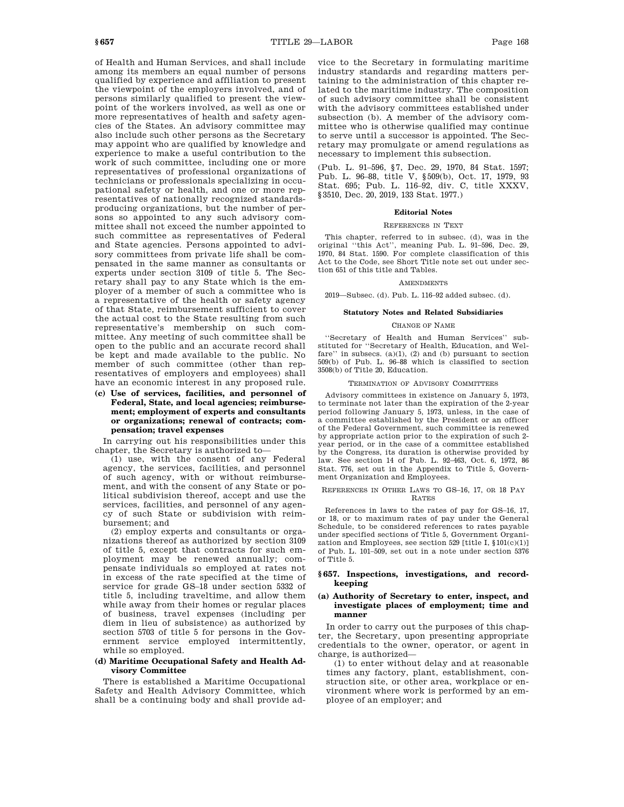of Health and Human Services, and shall include among its members an equal number of persons qualified by experience and affiliation to present the viewpoint of the employers involved, and of persons similarly qualified to present the viewpoint of the workers involved, as well as one or more representatives of health and safety agencies of the States. An advisory committee may also include such other persons as the Secretary may appoint who are qualified by knowledge and experience to make a useful contribution to the work of such committee, including one or more representatives of professional organizations of technicians or professionals specializing in occupational safety or health, and one or more representatives of nationally recognized standardsproducing organizations, but the number of persons so appointed to any such advisory committee shall not exceed the number appointed to such committee as representatives of Federal and State agencies. Persons appointed to advisory committees from private life shall be compensated in the same manner as consultants or experts under section 3109 of title 5. The Secretary shall pay to any State which is the employer of a member of such a committee who is a representative of the health or safety agency of that State, reimbursement sufficient to cover the actual cost to the State resulting from such representative's membership on such committee. Any meeting of such committee shall be open to the public and an accurate record shall be kept and made available to the public. No member of such committee (other than representatives of employers and employees) shall have an economic interest in any proposed rule.

### **(c) Use of services, facilities, and personnel of Federal, State, and local agencies; reimbursement; employment of experts and consultants or organizations; renewal of contracts; compensation; travel expenses**

In carrying out his responsibilities under this chapter, the Secretary is authorized to—

(1) use, with the consent of any Federal agency, the services, facilities, and personnel of such agency, with or without reimbursement, and with the consent of any State or political subdivision thereof, accept and use the services, facilities, and personnel of any agency of such State or subdivision with reimbursement; and

(2) employ experts and consultants or organizations thereof as authorized by section 3109 of title 5, except that contracts for such employment may be renewed annually; compensate individuals so employed at rates not in excess of the rate specified at the time of service for grade GS–18 under section 5332 of title 5, including traveltime, and allow them while away from their homes or regular places of business, travel expenses (including per diem in lieu of subsistence) as authorized by section 5703 of title 5 for persons in the Government service employed intermittently, while so employed.

### **(d) Maritime Occupational Safety and Health Advisory Committee**

There is established a Maritime Occupational Safety and Health Advisory Committee, which shall be a continuing body and shall provide advice to the Secretary in formulating maritime industry standards and regarding matters pertaining to the administration of this chapter related to the maritime industry. The composition of such advisory committee shall be consistent with the advisory committees established under subsection (b). A member of the advisory committee who is otherwise qualified may continue to serve until a successor is appointed. The Secretary may promulgate or amend regulations as necessary to implement this subsection.

(Pub. L. 91–596, §7, Dec. 29, 1970, 84 Stat. 1597; Pub. L. 96–88, title V, §509(b), Oct. 17, 1979, 93 Stat. 695; Pub. L. 116–92, div. C, title XXXV, §3510, Dec. 20, 2019, 133 Stat. 1977.)

#### **Editorial Notes**

#### REFERENCES IN TEXT

This chapter, referred to in subsec. (d), was in the original ''this Act'', meaning Pub. L. 91–596, Dec. 29, 1970, 84 Stat. 1590. For complete classification of this Act to the Code, see Short Title note set out under section 651 of this title and Tables.

#### **AMENDMENTS**

2019—Subsec. (d). Pub. L. 116–92 added subsec. (d).

# **Statutory Notes and Related Subsidiaries**

#### CHANGE OF NAME

''Secretary of Health and Human Services'' substituted for ''Secretary of Health, Education, and Welfare" in subsecs.  $(a)(1)$ ,  $(2)$  and  $(b)$  pursuant to section 509(b) of Pub. L. 96–88 which is classified to section 3508(b) of Title 20, Education.

#### TERMINATION OF ADVISORY COMMITTEES

Advisory committees in existence on January 5, 1973, to terminate not later than the expiration of the 2-year period following January 5, 1973, unless, in the case of a committee established by the President or an officer of the Federal Government, such committee is renewed by appropriate action prior to the expiration of such 2 year period, or in the case of a committee established by the Congress, its duration is otherwise provided by law. See section 14 of Pub. L. 92–463, Oct. 6, 1972, 86 Stat. 776, set out in the Appendix to Title 5, Government Organization and Employees.

#### REFERENCES IN OTHER LAWS TO GS–16, 17, OR 18 PAY RATES

References in laws to the rates of pay for GS–16, 17, or 18, or to maximum rates of pay under the General Schedule, to be considered references to rates payable under specified sections of Title 5, Government Organization and Employees, see section 529 [title I, §101(c)(1)] of Pub. L. 101–509, set out in a note under section 5376 of Title 5.

### **§ 657. Inspections, investigations, and recordkeeping**

### **(a) Authority of Secretary to enter, inspect, and investigate places of employment; time and manner**

In order to carry out the purposes of this chapter, the Secretary, upon presenting appropriate credentials to the owner, operator, or agent in charge, is authorized—

(1) to enter without delay and at reasonable times any factory, plant, establishment, construction site, or other area, workplace or environment where work is performed by an employee of an employer; and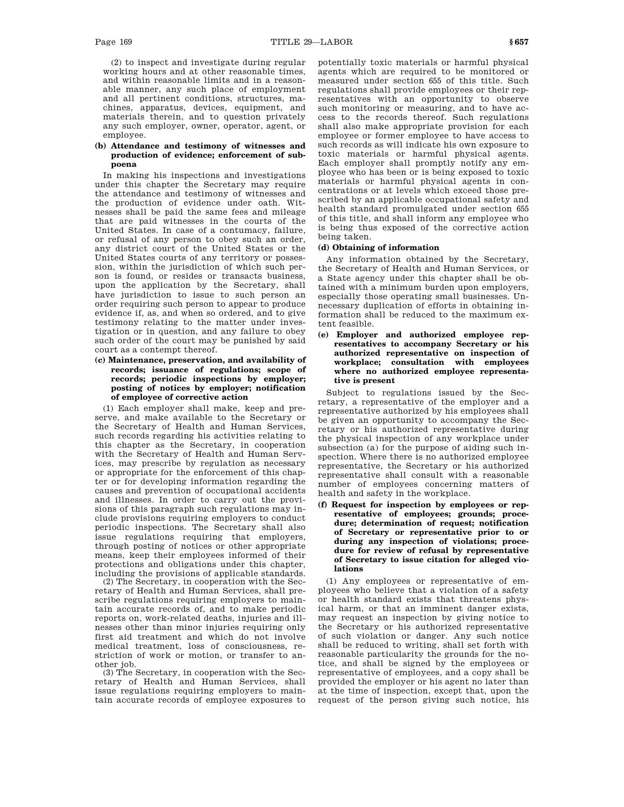(2) to inspect and investigate during regular working hours and at other reasonable times, and within reasonable limits and in a reasonable manner, any such place of employment and all pertinent conditions, structures, machines, apparatus, devices, equipment, and materials therein, and to question privately any such employer, owner, operator, agent, or employee.

### **(b) Attendance and testimony of witnesses and production of evidence; enforcement of subpoena**

In making his inspections and investigations under this chapter the Secretary may require the attendance and testimony of witnesses and the production of evidence under oath. Witnesses shall be paid the same fees and mileage that are paid witnesses in the courts of the United States. In case of a contumacy, failure, or refusal of any person to obey such an order, any district court of the United States or the United States courts of any territory or possession, within the jurisdiction of which such person is found, or resides or transacts business, upon the application by the Secretary, shall have jurisdiction to issue to such person an order requiring such person to appear to produce evidence if, as, and when so ordered, and to give testimony relating to the matter under investigation or in question, and any failure to obey such order of the court may be punished by said court as a contempt thereof.

# **(c) Maintenance, preservation, and availability of records; issuance of regulations; scope of records; periodic inspections by employer; posting of notices by employer; notification of employee of corrective action**

(1) Each employer shall make, keep and preserve, and make available to the Secretary or the Secretary of Health and Human Services, such records regarding his activities relating to this chapter as the Secretary, in cooperation with the Secretary of Health and Human Services, may prescribe by regulation as necessary or appropriate for the enforcement of this chapter or for developing information regarding the causes and prevention of occupational accidents and illnesses. In order to carry out the provisions of this paragraph such regulations may include provisions requiring employers to conduct periodic inspections. The Secretary shall also issue regulations requiring that employers, through posting of notices or other appropriate means, keep their employees informed of their protections and obligations under this chapter, including the provisions of applicable standards.

(2) The Secretary, in cooperation with the Secretary of Health and Human Services, shall prescribe regulations requiring employers to maintain accurate records of, and to make periodic reports on, work-related deaths, injuries and illnesses other than minor injuries requiring only first aid treatment and which do not involve medical treatment, loss of consciousness, restriction of work or motion, or transfer to another job.

(3) The Secretary, in cooperation with the Secretary of Health and Human Services, shall issue regulations requiring employers to maintain accurate records of employee exposures to potentially toxic materials or harmful physical agents which are required to be monitored or measured under section 655 of this title. Such regulations shall provide employees or their representatives with an opportunity to observe such monitoring or measuring, and to have access to the records thereof. Such regulations shall also make appropriate provision for each employee or former employee to have access to such records as will indicate his own exposure to toxic materials or harmful physical agents. Each employer shall promptly notify any employee who has been or is being exposed to toxic materials or harmful physical agents in concentrations or at levels which exceed those prescribed by an applicable occupational safety and health standard promulgated under section 655 of this title, and shall inform any employee who is being thus exposed of the corrective action being taken.

# **(d) Obtaining of information**

Any information obtained by the Secretary, the Secretary of Health and Human Services, or a State agency under this chapter shall be obtained with a minimum burden upon employers, especially those operating small businesses. Unnecessary duplication of efforts in obtaining information shall be reduced to the maximum extent feasible.

**(e) Employer and authorized employee representatives to accompany Secretary or his authorized representative on inspection of workplace; consultation with employees where no authorized employee representative is present** 

Subject to regulations issued by the Secretary, a representative of the employer and a representative authorized by his employees shall be given an opportunity to accompany the Secretary or his authorized representative during the physical inspection of any workplace under subsection (a) for the purpose of aiding such inspection. Where there is no authorized employee representative, the Secretary or his authorized representative shall consult with a reasonable number of employees concerning matters of health and safety in the workplace.

**(f) Request for inspection by employees or representative of employees; grounds; procedure; determination of request; notification of Secretary or representative prior to or during any inspection of violations; procedure for review of refusal by representative of Secretary to issue citation for alleged violations** 

(1) Any employees or representative of employees who believe that a violation of a safety or health standard exists that threatens physical harm, or that an imminent danger exists, may request an inspection by giving notice to the Secretary or his authorized representative of such violation or danger. Any such notice shall be reduced to writing, shall set forth with reasonable particularity the grounds for the notice, and shall be signed by the employees or representative of employees, and a copy shall be provided the employer or his agent no later than at the time of inspection, except that, upon the request of the person giving such notice, his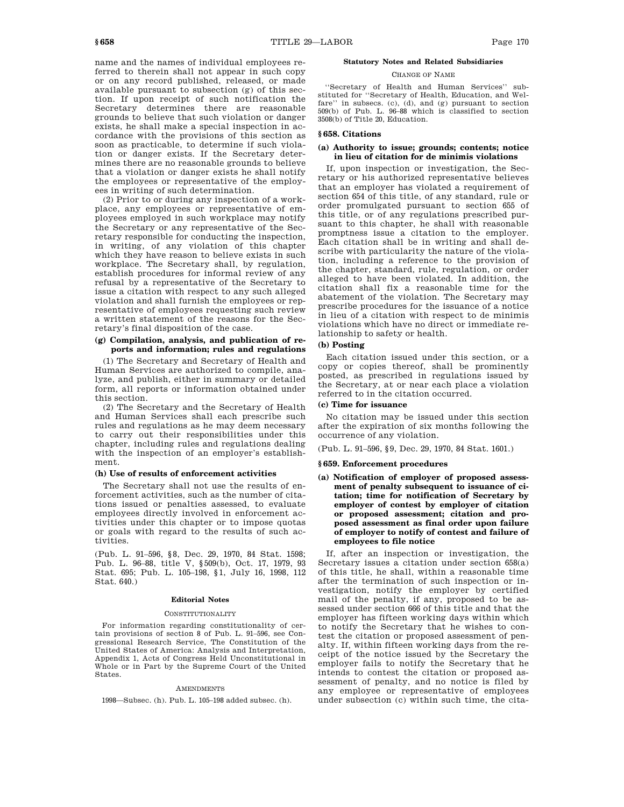name and the names of individual employees referred to therein shall not appear in such copy or on any record published, released, or made available pursuant to subsection (g) of this section. If upon receipt of such notification the Secretary determines there are reasonable grounds to believe that such violation or danger exists, he shall make a special inspection in accordance with the provisions of this section as soon as practicable, to determine if such violation or danger exists. If the Secretary determines there are no reasonable grounds to believe that a violation or danger exists he shall notify the employees or representative of the employees in writing of such determination.

(2) Prior to or during any inspection of a workplace, any employees or representative of employees employed in such workplace may notify the Secretary or any representative of the Secretary responsible for conducting the inspection, in writing, of any violation of this chapter which they have reason to believe exists in such workplace. The Secretary shall, by regulation, establish procedures for informal review of any refusal by a representative of the Secretary to issue a citation with respect to any such alleged violation and shall furnish the employees or representative of employees requesting such review a written statement of the reasons for the Secretary's final disposition of the case.

# **(g) Compilation, analysis, and publication of reports and information; rules and regulations**

(1) The Secretary and Secretary of Health and Human Services are authorized to compile, analyze, and publish, either in summary or detailed form, all reports or information obtained under this section.

(2) The Secretary and the Secretary of Health and Human Services shall each prescribe such rules and regulations as he may deem necessary to carry out their responsibilities under this chapter, including rules and regulations dealing with the inspection of an employer's establishment.

### **(h) Use of results of enforcement activities**

The Secretary shall not use the results of enforcement activities, such as the number of citations issued or penalties assessed, to evaluate employees directly involved in enforcement activities under this chapter or to impose quotas or goals with regard to the results of such activities.

(Pub. L. 91–596, §8, Dec. 29, 1970, 84 Stat. 1598; Pub. L. 96–88, title V, §509(b), Oct. 17, 1979, 93 Stat. 695; Pub. L. 105–198, §1, July 16, 1998, 112 Stat. 640.)

#### **Editorial Notes**

#### CONSTITUTIONALITY

For information regarding constitutionality of certain provisions of section 8 of Pub. L. 91–596, see Congressional Research Service, The Constitution of the United States of America: Analysis and Interpretation, Appendix 1, Acts of Congress Held Unconstitutional in Whole or in Part by the Supreme Court of the United States.

#### AMENDMENTS

1998—Subsec. (h). Pub. L. 105–198 added subsec. (h).

#### **Statutory Notes and Related Subsidiaries**

### CHANGE OF NAME

''Secretary of Health and Human Services'' substituted for ''Secretary of Health, Education, and Welfare'' in subsecs. (c), (d), and (g) pursuant to section 509(b) of Pub. L. 96–88 which is classified to section 3508(b) of Title 20, Education.

# **§ 658. Citations**

### **(a) Authority to issue; grounds; contents; notice in lieu of citation for de minimis violations**

If, upon inspection or investigation, the Secretary or his authorized representative believes that an employer has violated a requirement of section 654 of this title, of any standard, rule or order promulgated pursuant to section 655 of this title, or of any regulations prescribed pursuant to this chapter, he shall with reasonable promptness issue a citation to the employer. Each citation shall be in writing and shall describe with particularity the nature of the violation, including a reference to the provision of the chapter, standard, rule, regulation, or order alleged to have been violated. In addition, the citation shall fix a reasonable time for the abatement of the violation. The Secretary may prescribe procedures for the issuance of a notice in lieu of a citation with respect to de minimis violations which have no direct or immediate relationship to safety or health.

# **(b) Posting**

Each citation issued under this section, or a copy or copies thereof, shall be prominently posted, as prescribed in regulations issued by the Secretary, at or near each place a violation referred to in the citation occurred.

# **(c) Time for issuance**

No citation may be issued under this section after the expiration of six months following the occurrence of any violation.

(Pub. L. 91–596, §9, Dec. 29, 1970, 84 Stat. 1601.)

### **§ 659. Enforcement procedures**

**(a) Notification of employer of proposed assessment of penalty subsequent to issuance of citation; time for notification of Secretary by employer of contest by employer of citation or proposed assessment; citation and proposed assessment as final order upon failure of employer to notify of contest and failure of employees to file notice** 

If, after an inspection or investigation, the Secretary issues a citation under section 658(a) of this title, he shall, within a reasonable time after the termination of such inspection or investigation, notify the employer by certified mail of the penalty, if any, proposed to be assessed under section 666 of this title and that the employer has fifteen working days within which to notify the Secretary that he wishes to contest the citation or proposed assessment of penalty. If, within fifteen working days from the receipt of the notice issued by the Secretary the employer fails to notify the Secretary that he intends to contest the citation or proposed assessment of penalty, and no notice is filed by any employee or representative of employees under subsection (c) within such time, the cita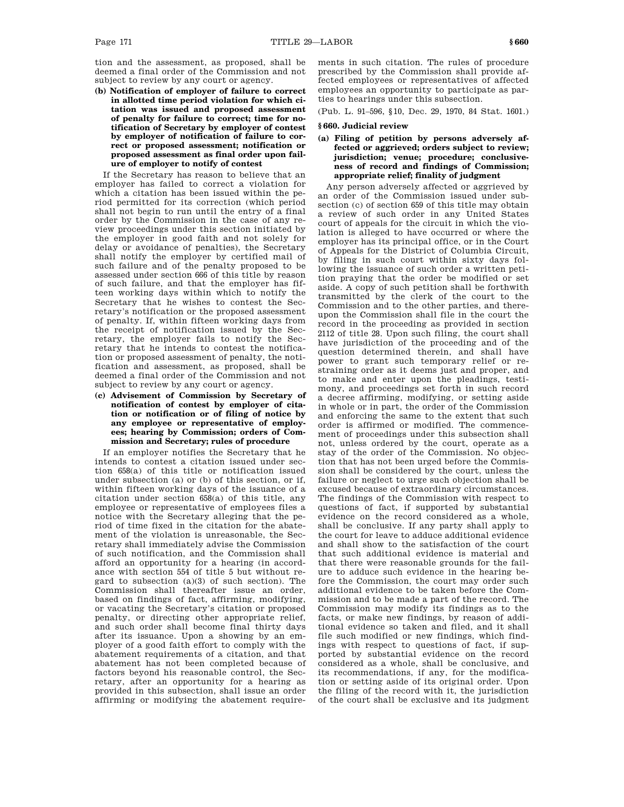tion and the assessment, as proposed, shall be deemed a final order of the Commission and not subject to review by any court or agency.

**(b) Notification of employer of failure to correct in allotted time period violation for which citation was issued and proposed assessment of penalty for failure to correct; time for notification of Secretary by employer of contest by employer of notification of failure to correct or proposed assessment; notification or proposed assessment as final order upon failure of employer to notify of contest** 

If the Secretary has reason to believe that an employer has failed to correct a violation for which a citation has been issued within the period permitted for its correction (which period shall not begin to run until the entry of a final order by the Commission in the case of any review proceedings under this section initiated by the employer in good faith and not solely for delay or avoidance of penalties), the Secretary shall notify the employer by certified mail of such failure and of the penalty proposed to be assessed under section 666 of this title by reason of such failure, and that the employer has fifteen working days within which to notify the Secretary that he wishes to contest the Secretary's notification or the proposed assessment of penalty. If, within fifteen working days from the receipt of notification issued by the Secretary, the employer fails to notify the Secretary that he intends to contest the notification or proposed assessment of penalty, the notification and assessment, as proposed, shall be deemed a final order of the Commission and not subject to review by any court or agency.

# **(c) Advisement of Commission by Secretary of notification of contest by employer of citation or notification or of filing of notice by any employee or representative of employees; hearing by Commission; orders of Commission and Secretary; rules of procedure**

If an employer notifies the Secretary that he intends to contest a citation issued under section 658(a) of this title or notification issued under subsection (a) or (b) of this section, or if, within fifteen working days of the issuance of a citation under section 658(a) of this title, any employee or representative of employees files a notice with the Secretary alleging that the period of time fixed in the citation for the abatement of the violation is unreasonable, the Secretary shall immediately advise the Commission of such notification, and the Commission shall afford an opportunity for a hearing (in accordance with section 554 of title 5 but without regard to subsection  $(a)(3)$  of such section). The Commission shall thereafter issue an order, based on findings of fact, affirming, modifying, or vacating the Secretary's citation or proposed penalty, or directing other appropriate relief, and such order shall become final thirty days after its issuance. Upon a showing by an employer of a good faith effort to comply with the abatement requirements of a citation, and that abatement has not been completed because of factors beyond his reasonable control, the Secretary, after an opportunity for a hearing as provided in this subsection, shall issue an order affirming or modifying the abatement requirements in such citation. The rules of procedure prescribed by the Commission shall provide affected employees or representatives of affected employees an opportunity to participate as parties to hearings under this subsection.

(Pub. L. 91–596, §10, Dec. 29, 1970, 84 Stat. 1601.)

#### **§ 660. Judicial review**

### **(a) Filing of petition by persons adversely affected or aggrieved; orders subject to review; jurisdiction; venue; procedure; conclusiveness of record and findings of Commission; appropriate relief; finality of judgment**

Any person adversely affected or aggrieved by an order of the Commission issued under subsection (c) of section 659 of this title may obtain a review of such order in any United States court of appeals for the circuit in which the violation is alleged to have occurred or where the employer has its principal office, or in the Court of Appeals for the District of Columbia Circuit, by filing in such court within sixty days following the issuance of such order a written petition praying that the order be modified or set aside. A copy of such petition shall be forthwith transmitted by the clerk of the court to the Commission and to the other parties, and thereupon the Commission shall file in the court the record in the proceeding as provided in section 2112 of title 28. Upon such filing, the court shall have jurisdiction of the proceeding and of the question determined therein, and shall have power to grant such temporary relief or restraining order as it deems just and proper, and to make and enter upon the pleadings, testimony, and proceedings set forth in such record a decree affirming, modifying, or setting aside in whole or in part, the order of the Commission and enforcing the same to the extent that such order is affirmed or modified. The commencement of proceedings under this subsection shall not, unless ordered by the court, operate as a stay of the order of the Commission. No objection that has not been urged before the Commission shall be considered by the court, unless the failure or neglect to urge such objection shall be excused because of extraordinary circumstances. The findings of the Commission with respect to questions of fact, if supported by substantial evidence on the record considered as a whole, shall be conclusive. If any party shall apply to the court for leave to adduce additional evidence and shall show to the satisfaction of the court that such additional evidence is material and that there were reasonable grounds for the failure to adduce such evidence in the hearing before the Commission, the court may order such additional evidence to be taken before the Commission and to be made a part of the record. The Commission may modify its findings as to the facts, or make new findings, by reason of additional evidence so taken and filed, and it shall file such modified or new findings, which findings with respect to questions of fact, if supported by substantial evidence on the record considered as a whole, shall be conclusive, and its recommendations, if any, for the modification or setting aside of its original order. Upon the filing of the record with it, the jurisdiction of the court shall be exclusive and its judgment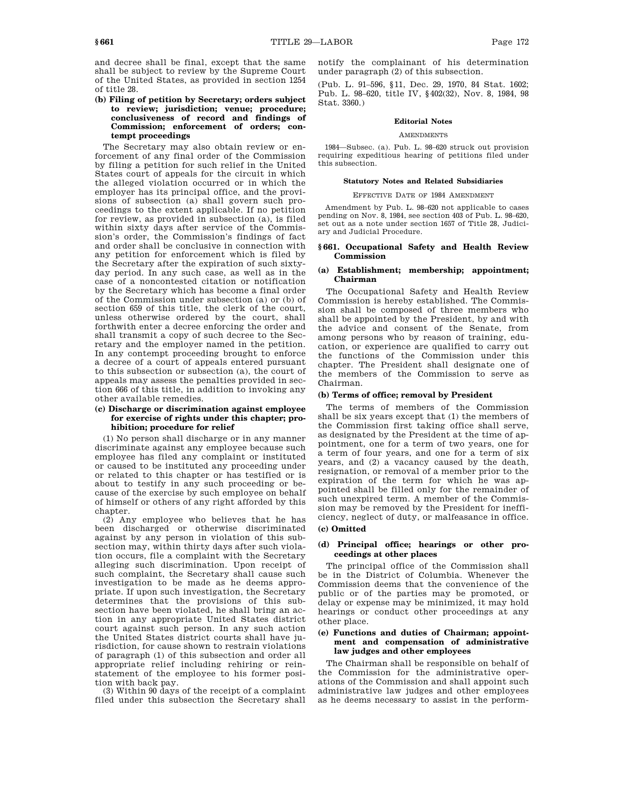and decree shall be final, except that the same shall be subject to review by the Supreme Court of the United States, as provided in section 1254 of title 28.

### **(b) Filing of petition by Secretary; orders subject to review; jurisdiction; venue; procedure; conclusiveness of record and findings of Commission; enforcement of orders; contempt proceedings**

The Secretary may also obtain review or enforcement of any final order of the Commission by filing a petition for such relief in the United States court of appeals for the circuit in which the alleged violation occurred or in which the employer has its principal office, and the provisions of subsection (a) shall govern such proceedings to the extent applicable. If no petition for review, as provided in subsection (a), is filed within sixty days after service of the Commission's order, the Commission's findings of fact and order shall be conclusive in connection with any petition for enforcement which is filed by the Secretary after the expiration of such sixtyday period. In any such case, as well as in the case of a noncontested citation or notification by the Secretary which has become a final order of the Commission under subsection (a) or (b) of section 659 of this title, the clerk of the court, unless otherwise ordered by the court, shall forthwith enter a decree enforcing the order and shall transmit a copy of such decree to the Secretary and the employer named in the petition. In any contempt proceeding brought to enforce a decree of a court of appeals entered pursuant to this subsection or subsection (a), the court of appeals may assess the penalties provided in section 666 of this title, in addition to invoking any other available remedies.

# **(c) Discharge or discrimination against employee for exercise of rights under this chapter; prohibition; procedure for relief**

(1) No person shall discharge or in any manner discriminate against any employee because such employee has filed any complaint or instituted or caused to be instituted any proceeding under or related to this chapter or has testified or is about to testify in any such proceeding or because of the exercise by such employee on behalf of himself or others of any right afforded by this chapter.

(2) Any employee who believes that he has been discharged or otherwise discriminated against by any person in violation of this subsection may, within thirty days after such violation occurs, file a complaint with the Secretary alleging such discrimination. Upon receipt of such complaint, the Secretary shall cause such investigation to be made as he deems appropriate. If upon such investigation, the Secretary determines that the provisions of this subsection have been violated, he shall bring an action in any appropriate United States district court against such person. In any such action the United States district courts shall have jurisdiction, for cause shown to restrain violations of paragraph (1) of this subsection and order all appropriate relief including rehiring or reinstatement of the employee to his former position with back pay.

(3) Within 90 days of the receipt of a complaint filed under this subsection the Secretary shall notify the complainant of his determination under paragraph (2) of this subsection.

(Pub. L. 91–596, §11, Dec. 29, 1970, 84 Stat. 1602; Pub. L. 98–620, title IV, §402(32), Nov. 8, 1984, 98 Stat. 3360.)

# **Editorial Notes**

#### **AMENDMENTS**

1984—Subsec. (a). Pub. L. 98–620 struck out provision requiring expeditious hearing of petitions filed under this subsection.

#### **Statutory Notes and Related Subsidiaries**

EFFECTIVE DATE OF 1984 AMENDMENT

Amendment by Pub. L. 98–620 not applicable to cases pending on Nov. 8, 1984, see section 403 of Pub. L. 98–620, set out as a note under section 1657 of Title 28, Judiciary and Judicial Procedure.

# **§ 661. Occupational Safety and Health Review Commission**

### **(a) Establishment; membership; appointment; Chairman**

The Occupational Safety and Health Review Commission is hereby established. The Commission shall be composed of three members who shall be appointed by the President, by and with the advice and consent of the Senate, from among persons who by reason of training, education, or experience are qualified to carry out the functions of the Commission under this chapter. The President shall designate one of the members of the Commission to serve as Chairman.

#### **(b) Terms of office; removal by President**

The terms of members of the Commission shall be six years except that (1) the members of the Commission first taking office shall serve, as designated by the President at the time of appointment, one for a term of two years, one for a term of four years, and one for a term of six years, and (2) a vacancy caused by the death, resignation, or removal of a member prior to the expiration of the term for which he was appointed shall be filled only for the remainder of such unexpired term. A member of the Commission may be removed by the President for inefficiency, neglect of duty, or malfeasance in office.

### **(c) Omitted**

### **(d) Principal office; hearings or other proceedings at other places**

The principal office of the Commission shall be in the District of Columbia. Whenever the Commission deems that the convenience of the public or of the parties may be promoted, or delay or expense may be minimized, it may hold hearings or conduct other proceedings at any other place.

# **(e) Functions and duties of Chairman; appointment and compensation of administrative law judges and other employees**

The Chairman shall be responsible on behalf of the Commission for the administrative operations of the Commission and shall appoint such administrative law judges and other employees as he deems necessary to assist in the perform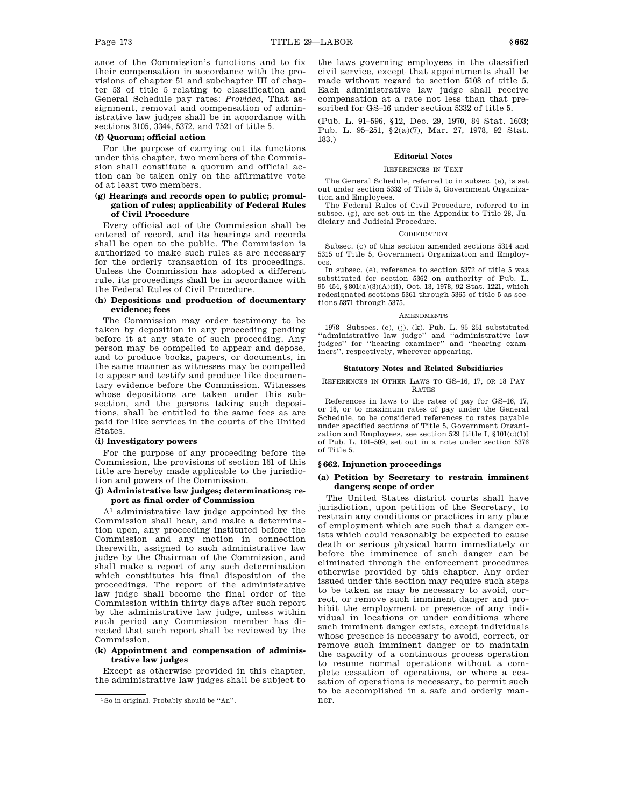ance of the Commission's functions and to fix their compensation in accordance with the provisions of chapter 51 and subchapter III of chapter 53 of title 5 relating to classification and General Schedule pay rates: *Provided*, That assignment, removal and compensation of administrative law judges shall be in accordance with sections 3105, 3344, 5372, and 7521 of title 5.

#### **(f) Quorum; official action**

For the purpose of carrying out its functions under this chapter, two members of the Commission shall constitute a quorum and official action can be taken only on the affirmative vote of at least two members.

### **(g) Hearings and records open to public; promulgation of rules; applicability of Federal Rules of Civil Procedure**

Every official act of the Commission shall be entered of record, and its hearings and records shall be open to the public. The Commission is authorized to make such rules as are necessary for the orderly transaction of its proceedings. Unless the Commission has adopted a different rule, its proceedings shall be in accordance with the Federal Rules of Civil Procedure.

### **(h) Depositions and production of documentary evidence; fees**

The Commission may order testimony to be taken by deposition in any proceeding pending before it at any state of such proceeding. Any person may be compelled to appear and depose, and to produce books, papers, or documents, in the same manner as witnesses may be compelled to appear and testify and produce like documentary evidence before the Commission. Witnesses whose depositions are taken under this subsection, and the persons taking such depositions, shall be entitled to the same fees as are paid for like services in the courts of the United States.

# **(i) Investigatory powers**

For the purpose of any proceeding before the Commission, the provisions of section 161 of this title are hereby made applicable to the jurisdiction and powers of the Commission.

### **(j) Administrative law judges; determinations; report as final order of Commission**

A1 administrative law judge appointed by the Commission shall hear, and make a determination upon, any proceeding instituted before the Commission and any motion in connection therewith, assigned to such administrative law judge by the Chairman of the Commission, and shall make a report of any such determination which constitutes his final disposition of the proceedings. The report of the administrative law judge shall become the final order of the Commission within thirty days after such report by the administrative law judge, unless within such period any Commission member has directed that such report shall be reviewed by the Commission.

# **(k) Appointment and compensation of administrative law judges**

Except as otherwise provided in this chapter, the administrative law judges shall be subject to the laws governing employees in the classified civil service, except that appointments shall be made without regard to section 5108 of title 5. Each administrative law judge shall receive compensation at a rate not less than that prescribed for GS–16 under section 5332 of title 5.

(Pub. L. 91–596, §12, Dec. 29, 1970, 84 Stat. 1603; Pub. L. 95–251, §2(a)(7), Mar. 27, 1978, 92 Stat. 183.)

### **Editorial Notes**

#### REFERENCES IN TEXT

The General Schedule, referred to in subsec. (e), is set out under section 5332 of Title 5, Government Organization and Employees.

The Federal Rules of Civil Procedure, referred to in subsec. (g), are set out in the Appendix to Title 28, Judiciary and Judicial Procedure.

#### CODIFICATION

Subsec. (c) of this section amended sections 5314 and 5315 of Title 5, Government Organization and Employees.

In subsec. (e), reference to section 5372 of title 5 was substituted for section 5362 on authority of Pub. L. 95–454, §801(a)(3)(A)(ii), Oct. 13, 1978, 92 Stat. 1221, which redesignated sections 5361 through 5365 of title 5 as sections 5371 through 5375.

#### **AMENDMENTS**

1978—Subsecs. (e), (j), (k). Pub. L. 95–251 substituted ''administrative law judge'' and ''administrative law judges'' for ''hearing examiner'' and ''hearing examiners'', respectively, wherever appearing.

### **Statutory Notes and Related Subsidiaries**

#### REFERENCES IN OTHER LAWS TO GS–16, 17, OR 18 PAY RATES

References in laws to the rates of pay for GS–16, 17, or 18, or to maximum rates of pay under the General Schedule, to be considered references to rates payable under specified sections of Title 5, Government Organization and Employees, see section 529 [title I,  $$101(c)(1)]$ of Pub. L. 101–509, set out in a note under section 5376 of Title 5.

### **§ 662. Injunction proceedings**

# **(a) Petition by Secretary to restrain imminent dangers; scope of order**

The United States district courts shall have jurisdiction, upon petition of the Secretary, to restrain any conditions or practices in any place of employment which are such that a danger exists which could reasonably be expected to cause death or serious physical harm immediately or before the imminence of such danger can be eliminated through the enforcement procedures otherwise provided by this chapter. Any order issued under this section may require such steps to be taken as may be necessary to avoid, correct, or remove such imminent danger and prohibit the employment or presence of any individual in locations or under conditions where such imminent danger exists, except individuals whose presence is necessary to avoid, correct, or remove such imminent danger or to maintain the capacity of a continuous process operation to resume normal operations without a complete cessation of operations, or where a cessation of operations is necessary, to permit such to be accomplished in a safe and orderly manner.

<sup>1</sup>So in original. Probably should be ''An''.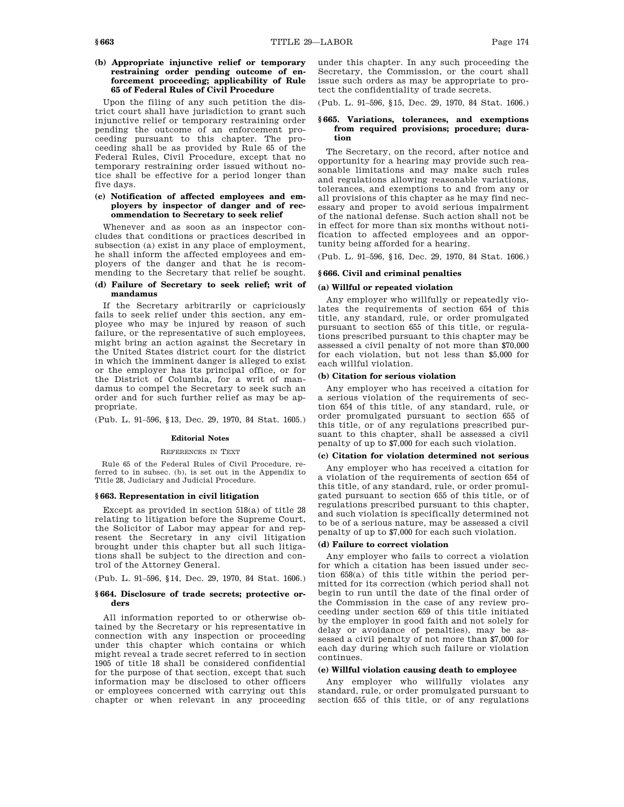# **(b) Appropriate injunctive relief or temporary restraining order pending outcome of enforcement proceeding; applicability of Rule 65 of Federal Rules of Civil Procedure**

Upon the filing of any such petition the district court shall have jurisdiction to grant such injunctive relief or temporary restraining order pending the outcome of an enforcement proceeding pursuant to this chapter. The proceeding shall be as provided by Rule 65 of the Federal Rules, Civil Procedure, except that no temporary restraining order issued without notice shall be effective for a period longer than five days.

# **(c) Notification of affected employees and employers by inspector of danger and of recommendation to Secretary to seek relief**

Whenever and as soon as an inspector concludes that conditions or practices described in subsection (a) exist in any place of employment, he shall inform the affected employees and employers of the danger and that he is recommending to the Secretary that relief be sought.

### **(d) Failure of Secretary to seek relief; writ of mandamus**

If the Secretary arbitrarily or capriciously fails to seek relief under this section, any employee who may be injured by reason of such failure, or the representative of such employees, might bring an action against the Secretary in the United States district court for the district in which the imminent danger is alleged to exist or the employer has its principal office, or for the District of Columbia, for a writ of mandamus to compel the Secretary to seek such an order and for such further relief as may be appropriate.

(Pub. L. 91–596, §13, Dec. 29, 1970, 84 Stat. 1605.)

#### **Editorial Notes**

# REFERENCES IN TEXT

Rule 65 of the Federal Rules of Civil Procedure, referred to in subsec. (b), is set out in the Appendix to Title 28, Judiciary and Judicial Procedure.

### **§ 663. Representation in civil litigation**

Except as provided in section 518(a) of title 28 relating to litigation before the Supreme Court, the Solicitor of Labor may appear for and represent the Secretary in any civil litigation brought under this chapter but all such litigations shall be subject to the direction and control of the Attorney General.

(Pub. L. 91–596, §14, Dec. 29, 1970, 84 Stat. 1606.)

### **§ 664. Disclosure of trade secrets; protective orders**

All information reported to or otherwise obtained by the Secretary or his representative in connection with any inspection or proceeding under this chapter which contains or which might reveal a trade secret referred to in section 1905 of title 18 shall be considered confidential for the purpose of that section, except that such information may be disclosed to other officers or employees concerned with carrying out this chapter or when relevant in any proceeding under this chapter. In any such proceeding the Secretary, the Commission, or the court shall issue such orders as may be appropriate to protect the confidentiality of trade secrets.

(Pub. L. 91–596, §15, Dec. 29, 1970, 84 Stat. 1606.)

### **§ 665. Variations, tolerances, and exemptions from required provisions; procedure; duration**

The Secretary, on the record, after notice and opportunity for a hearing may provide such reasonable limitations and may make such rules and regulations allowing reasonable variations, tolerances, and exemptions to and from any or all provisions of this chapter as he may find necessary and proper to avoid serious impairment of the national defense. Such action shall not be in effect for more than six months without notification to affected employees and an opportunity being afforded for a hearing.

(Pub. L. 91–596, §16, Dec. 29, 1970, 84 Stat. 1606.)

### **§ 666. Civil and criminal penalties**

#### **(a) Willful or repeated violation**

Any employer who willfully or repeatedly violates the requirements of section 654 of this title, any standard, rule, or order promulgated pursuant to section 655 of this title, or regulations prescribed pursuant to this chapter may be assessed a civil penalty of not more than \$70,000 for each violation, but not less than \$5,000 for each willful violation.

# **(b) Citation for serious violation**

Any employer who has received a citation for a serious violation of the requirements of section 654 of this title, of any standard, rule, or order promulgated pursuant to section 655 of this title, or of any regulations prescribed pursuant to this chapter, shall be assessed a civil penalty of up to \$7,000 for each such violation.

### **(c) Citation for violation determined not serious**

Any employer who has received a citation for a violation of the requirements of section 654 of this title, of any standard, rule, or order promulgated pursuant to section 655 of this title, or of regulations prescribed pursuant to this chapter, and such violation is specifically determined not to be of a serious nature, may be assessed a civil penalty of up to \$7,000 for each such violation.

#### **(d) Failure to correct violation**

Any employer who fails to correct a violation for which a citation has been issued under section 658(a) of this title within the period permitted for its correction (which period shall not begin to run until the date of the final order of the Commission in the case of any review proceeding under section 659 of this title initiated by the employer in good faith and not solely for delay or avoidance of penalties), may be assessed a civil penalty of not more than \$7,000 for each day during which such failure or violation continues.

#### **(e) Willful violation causing death to employee**

Any employer who willfully violates any standard, rule, or order promulgated pursuant to section 655 of this title, or of any regulations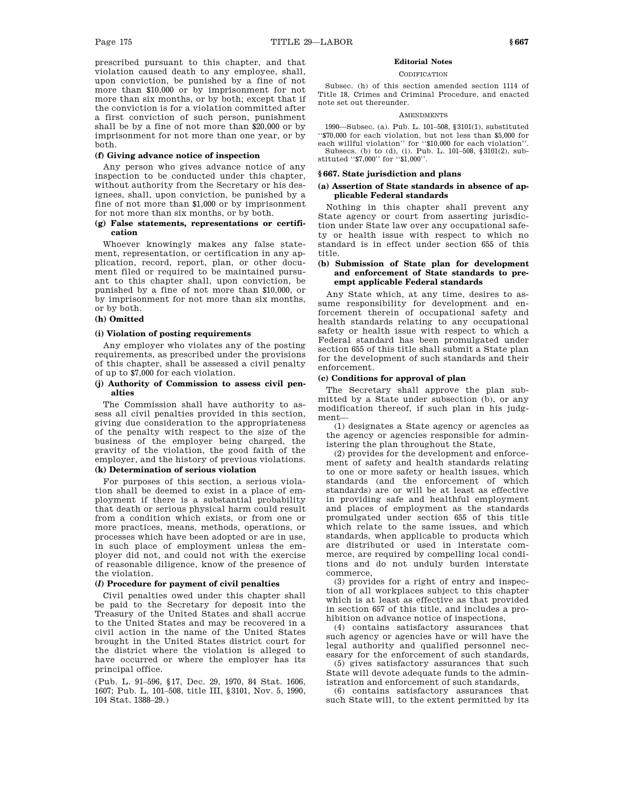prescribed pursuant to this chapter, and that violation caused death to any employee, shall, upon conviction, be punished by a fine of not more than \$10,000 or by imprisonment for not more than six months, or by both; except that if the conviction is for a violation committed after a first conviction of such person, punishment shall be by a fine of not more than \$20,000 or by imprisonment for not more than one year, or by both.

### **(f) Giving advance notice of inspection**

Any person who gives advance notice of any inspection to be conducted under this chapter, without authority from the Secretary or his designees, shall, upon conviction, be punished by a fine of not more than \$1,000 or by imprisonment for not more than six months, or by both.

### **(g) False statements, representations or certification**

Whoever knowingly makes any false statement, representation, or certification in any application, record, report, plan, or other document filed or required to be maintained pursuant to this chapter shall, upon conviction, be punished by a fine of not more than \$10,000, or by imprisonment for not more than six months, or by both.

### **(h) Omitted**

# **(i) Violation of posting requirements**

Any employer who violates any of the posting requirements, as prescribed under the provisions of this chapter, shall be assessed a civil penalty of up to \$7,000 for each violation.

### **(j) Authority of Commission to assess civil penalties**

The Commission shall have authority to assess all civil penalties provided in this section, giving due consideration to the appropriateness of the penalty with respect to the size of the business of the employer being charged, the gravity of the violation, the good faith of the employer, and the history of previous violations.

# **(k) Determination of serious violation**

For purposes of this section, a serious violation shall be deemed to exist in a place of employment if there is a substantial probability that death or serious physical harm could result from a condition which exists, or from one or more practices, means, methods, operations, or processes which have been adopted or are in use, in such place of employment unless the employer did not, and could not with the exercise of reasonable diligence, know of the presence of the violation.

# **(***l***) Procedure for payment of civil penalties**

Civil penalties owed under this chapter shall be paid to the Secretary for deposit into the Treasury of the United States and shall accrue to the United States and may be recovered in a civil action in the name of the United States brought in the United States district court for the district where the violation is alleged to have occurred or where the employer has its principal office.

(Pub. L. 91–596, §17, Dec. 29, 1970, 84 Stat. 1606, 1607; Pub. L. 101–508, title III, §3101, Nov. 5, 1990, 104 Stat. 1388–29.)

### **Editorial Notes**

#### **CODIFICATION**

Subsec. (h) of this section amended section 1114 of Title 18, Crimes and Criminal Procedure, and enacted note set out thereunder.

#### AMENDMENTS

1990—Subsec. (a). Pub. L. 101–508, §3101(1), substituted ''\$70,000 for each violation, but not less than \$5,000 for each willful violation" for "\$10,000 for each violation". Subsecs. (b) to (d), (i). Pub. L. 101–508, §3101(2), substituted ''\$7,000'' for ''\$1,000''.

### **§ 667. State jurisdiction and plans**

# **(a) Assertion of State standards in absence of applicable Federal standards**

Nothing in this chapter shall prevent any State agency or court from asserting jurisdiction under State law over any occupational safety or health issue with respect to which no standard is in effect under section 655 of this title.

### **(b) Submission of State plan for development and enforcement of State standards to preempt applicable Federal standards**

Any State which, at any time, desires to assume responsibility for development and enforcement therein of occupational safety and health standards relating to any occupational safety or health issue with respect to which a Federal standard has been promulgated under section 655 of this title shall submit a State plan for the development of such standards and their enforcement.

### **(c) Conditions for approval of plan**

The Secretary shall approve the plan submitted by a State under subsection (b), or any modification thereof, if such plan in his judgment—

(1) designates a State agency or agencies as the agency or agencies responsible for administering the plan throughout the State,

(2) provides for the development and enforcement of safety and health standards relating to one or more safety or health issues, which standards (and the enforcement of which standards) are or will be at least as effective in providing safe and healthful employment and places of employment as the standards promulgated under section 655 of this title which relate to the same issues, and which standards, when applicable to products which are distributed or used in interstate commerce, are required by compelling local conditions and do not unduly burden interstate commerce,

(3) provides for a right of entry and inspection of all workplaces subject to this chapter which is at least as effective as that provided in section 657 of this title, and includes a prohibition on advance notice of inspections,

(4) contains satisfactory assurances that such agency or agencies have or will have the legal authority and qualified personnel necessary for the enforcement of such standards,

(5) gives satisfactory assurances that such State will devote adequate funds to the administration and enforcement of such standards,

(6) contains satisfactory assurances that such State will, to the extent permitted by its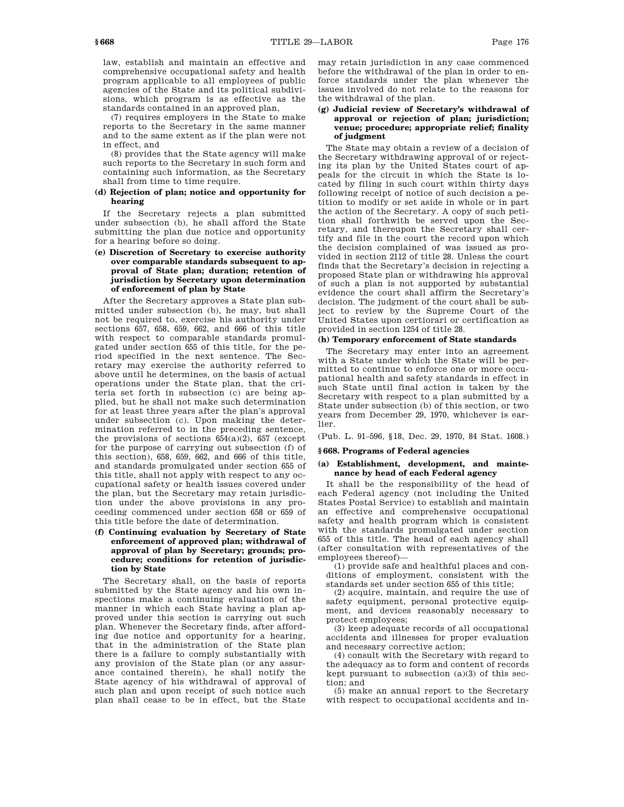law, establish and maintain an effective and comprehensive occupational safety and health program applicable to all employees of public agencies of the State and its political subdivisions, which program is as effective as the standards contained in an approved plan,

(7) requires employers in the State to make reports to the Secretary in the same manner and to the same extent as if the plan were not in effect, and

(8) provides that the State agency will make such reports to the Secretary in such form and containing such information, as the Secretary shall from time to time require.

# **(d) Rejection of plan; notice and opportunity for hearing**

If the Secretary rejects a plan submitted under subsection (b), he shall afford the State submitting the plan due notice and opportunity for a hearing before so doing.

# **(e) Discretion of Secretary to exercise authority over comparable standards subsequent to approval of State plan; duration; retention of jurisdiction by Secretary upon determination of enforcement of plan by State**

After the Secretary approves a State plan submitted under subsection (b), he may, but shall not be required to, exercise his authority under sections 657, 658, 659, 662, and 666 of this title with respect to comparable standards promulgated under section 655 of this title, for the period specified in the next sentence. The Secretary may exercise the authority referred to above until he determines, on the basis of actual operations under the State plan, that the criteria set forth in subsection (c) are being applied, but he shall not make such determination for at least three years after the plan's approval under subsection (c). Upon making the determination referred to in the preceding sentence, the provisions of sections  $654(a)(2)$ ,  $657$  (except for the purpose of carrying out subsection (f) of this section), 658, 659, 662, and 666 of this title, and standards promulgated under section 655 of this title, shall not apply with respect to any occupational safety or health issues covered under the plan, but the Secretary may retain jurisdiction under the above provisions in any proceeding commenced under section 658 or 659 of this title before the date of determination.

### **(f) Continuing evaluation by Secretary of State enforcement of approved plan; withdrawal of approval of plan by Secretary; grounds; procedure; conditions for retention of jurisdiction by State**

The Secretary shall, on the basis of reports submitted by the State agency and his own inspections make a continuing evaluation of the manner in which each State having a plan approved under this section is carrying out such plan. Whenever the Secretary finds, after affording due notice and opportunity for a hearing, that in the administration of the State plan there is a failure to comply substantially with any provision of the State plan (or any assurance contained therein), he shall notify the State agency of his withdrawal of approval of such plan and upon receipt of such notice such plan shall cease to be in effect, but the State

may retain jurisdiction in any case commenced before the withdrawal of the plan in order to enforce standards under the plan whenever the issues involved do not relate to the reasons for the withdrawal of the plan.

### **(g) Judicial review of Secretary's withdrawal of approval or rejection of plan; jurisdiction; venue; procedure; appropriate relief; finality of judgment**

The State may obtain a review of a decision of the Secretary withdrawing approval of or rejecting its plan by the United States court of appeals for the circuit in which the State is located by filing in such court within thirty days following receipt of notice of such decision a petition to modify or set aside in whole or in part the action of the Secretary. A copy of such petition shall forthwith be served upon the Secretary, and thereupon the Secretary shall certify and file in the court the record upon which the decision complained of was issued as provided in section 2112 of title 28. Unless the court finds that the Secretary's decision in rejecting a proposed State plan or withdrawing his approval of such a plan is not supported by substantial evidence the court shall affirm the Secretary's decision. The judgment of the court shall be subject to review by the Supreme Court of the United States upon certiorari or certification as provided in section 1254 of title 28.

# **(h) Temporary enforcement of State standards**

The Secretary may enter into an agreement with a State under which the State will be permitted to continue to enforce one or more occupational health and safety standards in effect in such State until final action is taken by the Secretary with respect to a plan submitted by a State under subsection (b) of this section, or two years from December 29, 1970, whichever is earlier.

(Pub. L. 91–596, §18, Dec. 29, 1970, 84 Stat. 1608.)

### **§ 668. Programs of Federal agencies**

# **(a) Establishment, development, and maintenance by head of each Federal agency**

It shall be the responsibility of the head of each Federal agency (not including the United States Postal Service) to establish and maintain an effective and comprehensive occupational safety and health program which is consistent with the standards promulgated under section 655 of this title. The head of each agency shall (after consultation with representatives of the employees thereof)—

(1) provide safe and healthful places and conditions of employment, consistent with the standards set under section 655 of this title;

(2) acquire, maintain, and require the use of safety equipment, personal protective equipment, and devices reasonably necessary to protect employees;

(3) keep adequate records of all occupational accidents and illnesses for proper evaluation and necessary corrective action;

(4) consult with the Secretary with regard to the adequacy as to form and content of records kept pursuant to subsection  $(a)(3)$  of this section; and

(5) make an annual report to the Secretary with respect to occupational accidents and in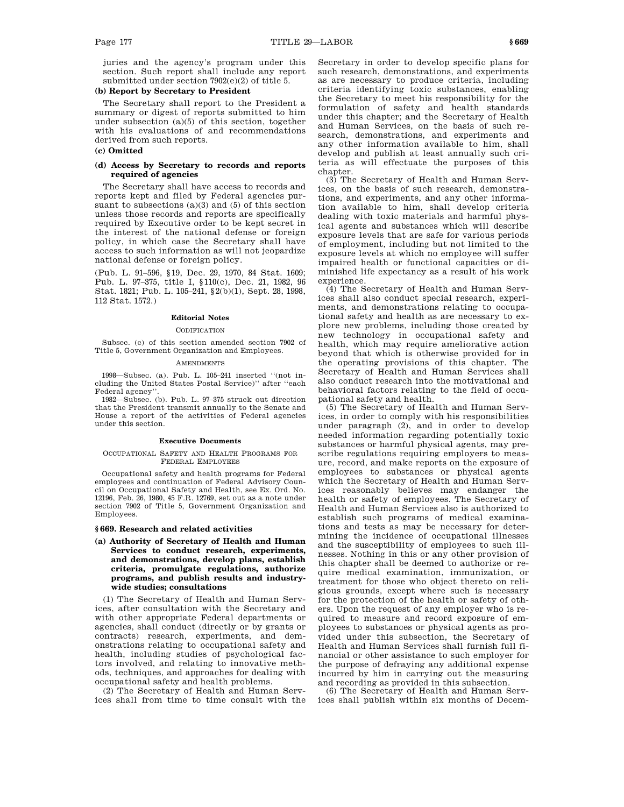juries and the agency's program under this section. Such report shall include any report submitted under section 7902(e)(2) of title 5.

# **(b) Report by Secretary to President**

The Secretary shall report to the President a summary or digest of reports submitted to him under subsection  $(a)(5)$  of this section, together with his evaluations of and recommendations derived from such reports.

# **(c) Omitted**

### **(d) Access by Secretary to records and reports required of agencies**

The Secretary shall have access to records and reports kept and filed by Federal agencies pursuant to subsections (a)(3) and (5) of this section unless those records and reports are specifically required by Executive order to be kept secret in the interest of the national defense or foreign policy, in which case the Secretary shall have access to such information as will not jeopardize national defense or foreign policy.

(Pub. L. 91–596, §19, Dec. 29, 1970, 84 Stat. 1609; Pub. L. 97–375, title I, §110(c), Dec. 21, 1982, 96 Stat. 1821; Pub. L. 105–241, §2(b)(1), Sept. 28, 1998, 112 Stat. 1572.)

### **Editorial Notes**

#### **CODIFICATION**

Subsec. (c) of this section amended section 7902 of Title 5, Government Organization and Employees.

#### **AMENDMENTS**

1998—Subsec. (a). Pub. L. 105–241 inserted ''(not including the United States Postal Service)'' after ''each Federal agency''.

1982—Subsec. (b). Pub. L. 97–375 struck out direction that the President transmit annually to the Senate and House a report of the activities of Federal agencies under this section.

#### **Executive Documents**

#### OCCUPATIONAL SAFETY AND HEALTH PROGRAMS FOR FEDERAL EMPLOYEES

Occupational safety and health programs for Federal employees and continuation of Federal Advisory Council on Occupational Safety and Health, see Ex. Ord. No. 12196, Feb. 26, 1980, 45 F.R. 12769, set out as a note under section 7902 of Title 5, Government Organization and Employees.

#### **§ 669. Research and related activities**

# **(a) Authority of Secretary of Health and Human Services to conduct research, experiments, and demonstrations, develop plans, establish criteria, promulgate regulations, authorize programs, and publish results and industrywide studies; consultations**

(1) The Secretary of Health and Human Services, after consultation with the Secretary and with other appropriate Federal departments or agencies, shall conduct (directly or by grants or contracts) research, experiments, and demonstrations relating to occupational safety and health, including studies of psychological factors involved, and relating to innovative methods, techniques, and approaches for dealing with occupational safety and health problems.

(2) The Secretary of Health and Human Services shall from time to time consult with the Secretary in order to develop specific plans for such research, demonstrations, and experiments as are necessary to produce criteria, including criteria identifying toxic substances, enabling the Secretary to meet his responsibility for the formulation of safety and health standards under this chapter; and the Secretary of Health and Human Services, on the basis of such research, demonstrations, and experiments and any other information available to him, shall develop and publish at least annually such criteria as will effectuate the purposes of this chapter.

(3) The Secretary of Health and Human Services, on the basis of such research, demonstrations, and experiments, and any other information available to him, shall develop criteria dealing with toxic materials and harmful physical agents and substances which will describe exposure levels that are safe for various periods of employment, including but not limited to the exposure levels at which no employee will suffer impaired health or functional capacities or diminished life expectancy as a result of his work experience.

(4) The Secretary of Health and Human Services shall also conduct special research, experiments, and demonstrations relating to occupational safety and health as are necessary to explore new problems, including those created by new technology in occupational safety and health, which may require ameliorative action beyond that which is otherwise provided for in the operating provisions of this chapter. The Secretary of Health and Human Services shall also conduct research into the motivational and behavioral factors relating to the field of occupational safety and health.

(5) The Secretary of Health and Human Services, in order to comply with his responsibilities under paragraph (2), and in order to develop needed information regarding potentially toxic substances or harmful physical agents, may prescribe regulations requiring employers to measure, record, and make reports on the exposure of employees to substances or physical agents which the Secretary of Health and Human Services reasonably believes may endanger the health or safety of employees. The Secretary of Health and Human Services also is authorized to establish such programs of medical examinations and tests as may be necessary for determining the incidence of occupational illnesses and the susceptibility of employees to such illnesses. Nothing in this or any other provision of this chapter shall be deemed to authorize or require medical examination, immunization, or treatment for those who object thereto on religious grounds, except where such is necessary for the protection of the health or safety of others. Upon the request of any employer who is required to measure and record exposure of employees to substances or physical agents as provided under this subsection, the Secretary of Health and Human Services shall furnish full financial or other assistance to such employer for the purpose of defraying any additional expense incurred by him in carrying out the measuring and recording as provided in this subsection.

(6) The Secretary of Health and Human Services shall publish within six months of Decem-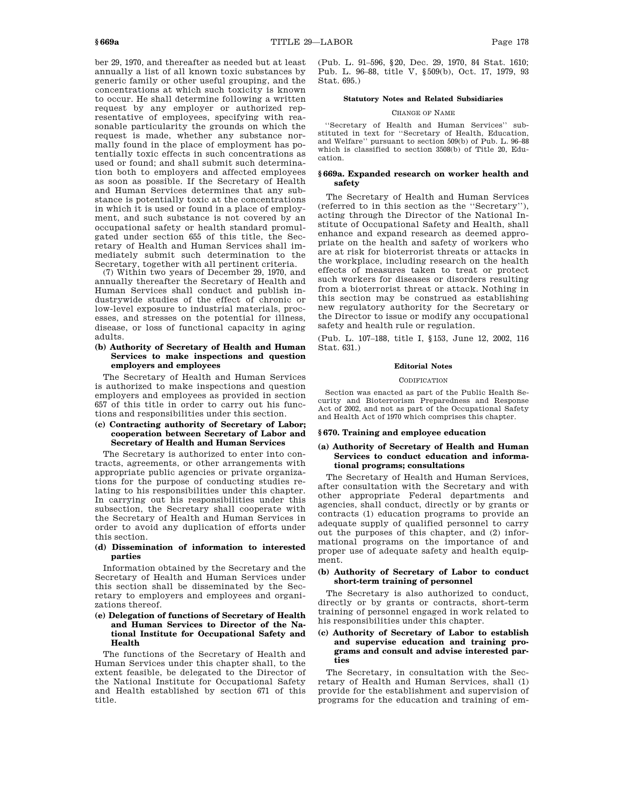ber 29, 1970, and thereafter as needed but at least annually a list of all known toxic substances by generic family or other useful grouping, and the concentrations at which such toxicity is known to occur. He shall determine following a written request by any employer or authorized representative of employees, specifying with reasonable particularity the grounds on which the request is made, whether any substance normally found in the place of employment has potentially toxic effects in such concentrations as used or found; and shall submit such determination both to employers and affected employees as soon as possible. If the Secretary of Health and Human Services determines that any substance is potentially toxic at the concentrations in which it is used or found in a place of employment, and such substance is not covered by an occupational safety or health standard promulgated under section 655 of this title, the Secretary of Health and Human Services shall immediately submit such determination to the Secretary, together with all pertinent criteria.

(7) Within two years of December 29, 1970, and annually thereafter the Secretary of Health and Human Services shall conduct and publish industrywide studies of the effect of chronic or low-level exposure to industrial materials, processes, and stresses on the potential for illness, disease, or loss of functional capacity in aging adults.

# **(b) Authority of Secretary of Health and Human Services to make inspections and question employers and employees**

The Secretary of Health and Human Services is authorized to make inspections and question employers and employees as provided in section 657 of this title in order to carry out his functions and responsibilities under this section.

### **(c) Contracting authority of Secretary of Labor; cooperation between Secretary of Labor and Secretary of Health and Human Services**

The Secretary is authorized to enter into contracts, agreements, or other arrangements with appropriate public agencies or private organizations for the purpose of conducting studies relating to his responsibilities under this chapter. In carrying out his responsibilities under this subsection, the Secretary shall cooperate with the Secretary of Health and Human Services in order to avoid any duplication of efforts under this section.

### **(d) Dissemination of information to interested parties**

Information obtained by the Secretary and the Secretary of Health and Human Services under this section shall be disseminated by the Secretary to employers and employees and organizations thereof.

# **(e) Delegation of functions of Secretary of Health and Human Services to Director of the National Institute for Occupational Safety and Health**

The functions of the Secretary of Health and Human Services under this chapter shall, to the extent feasible, be delegated to the Director of the National Institute for Occupational Safety and Health established by section 671 of this title.

(Pub. L. 91–596, §20, Dec. 29, 1970, 84 Stat. 1610; Pub. L. 96–88, title V, §509(b), Oct. 17, 1979, 93 Stat. 695.)

# **Statutory Notes and Related Subsidiaries**

### CHANGE OF NAME

''Secretary of Health and Human Services'' substituted in text for ''Secretary of Health, Education, and Welfare'' pursuant to section 509(b) of Pub. L. 96–88 which is classified to section 3508(b) of Title 20, Education.

### **§ 669a. Expanded research on worker health and safety**

The Secretary of Health and Human Services (referred to in this section as the ''Secretary''), acting through the Director of the National Institute of Occupational Safety and Health, shall enhance and expand research as deemed appropriate on the health and safety of workers who are at risk for bioterrorist threats or attacks in the workplace, including research on the health effects of measures taken to treat or protect such workers for diseases or disorders resulting from a bioterrorist threat or attack. Nothing in this section may be construed as establishing new regulatory authority for the Secretary or the Director to issue or modify any occupational safety and health rule or regulation.

(Pub. L. 107–188, title I, §153, June 12, 2002, 116 Stat. 631.)

#### **Editorial Notes**

#### **CODIFICATION**

Section was enacted as part of the Public Health Security and Bioterrorism Preparedness and Response Act of 2002, and not as part of the Occupational Safety and Health Act of 1970 which comprises this chapter.

### **§ 670. Training and employee education**

# **(a) Authority of Secretary of Health and Human Services to conduct education and informational programs; consultations**

The Secretary of Health and Human Services, after consultation with the Secretary and with other appropriate Federal departments and agencies, shall conduct, directly or by grants or contracts (1) education programs to provide an adequate supply of qualified personnel to carry out the purposes of this chapter, and (2) informational programs on the importance of and proper use of adequate safety and health equipment.

### **(b) Authority of Secretary of Labor to conduct short-term training of personnel**

The Secretary is also authorized to conduct, directly or by grants or contracts, short-term training of personnel engaged in work related to his responsibilities under this chapter.

# **(c) Authority of Secretary of Labor to establish and supervise education and training programs and consult and advise interested parties**

The Secretary, in consultation with the Secretary of Health and Human Services, shall (1) provide for the establishment and supervision of programs for the education and training of em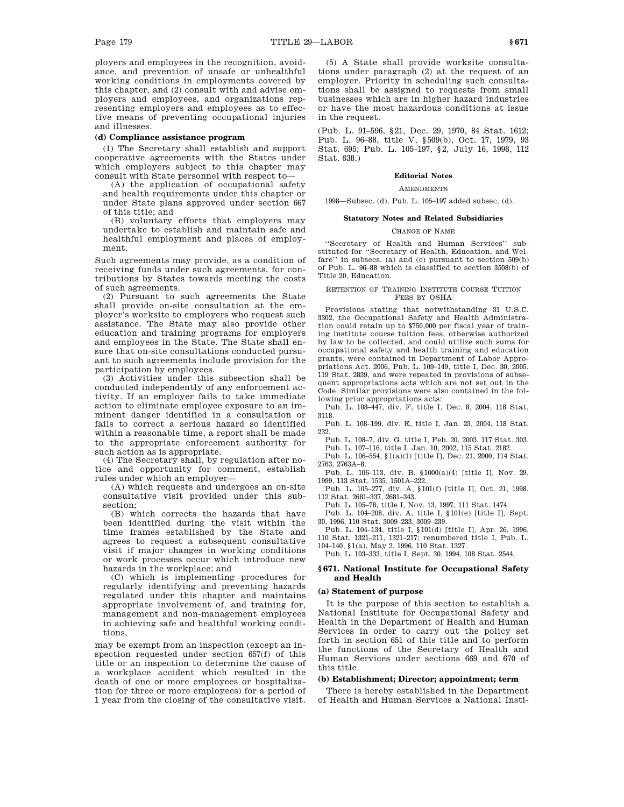ployers and employees in the recognition, avoidance, and prevention of unsafe or unhealthful working conditions in employments covered by this chapter, and (2) consult with and advise employers and employees, and organizations representing employers and employees as to effective means of preventing occupational injuries and illnesses.

### **(d) Compliance assistance program**

(1) The Secretary shall establish and support cooperative agreements with the States under which employers subject to this chapter may consult with State personnel with respect to—

(A) the application of occupational safety and health requirements under this chapter or under State plans approved under section 667 of this title; and

(B) voluntary efforts that employers may undertake to establish and maintain safe and healthful employment and places of employment.

Such agreements may provide, as a condition of receiving funds under such agreements, for contributions by States towards meeting the costs of such agreements.

(2) Pursuant to such agreements the State shall provide on-site consultation at the employer's worksite to employers who request such assistance. The State may also provide other education and training programs for employers and employees in the State. The State shall ensure that on-site consultations conducted pursuant to such agreements include provision for the participation by employees.

(3) Activities under this subsection shall be conducted independently of any enforcement activity. If an employer fails to take immediate action to eliminate employee exposure to an imminent danger identified in a consultation or fails to correct a serious hazard so identified within a reasonable time, a report shall be made to the appropriate enforcement authority for such action as is appropriate.

(4) The Secretary shall, by regulation after notice and opportunity for comment, establish rules under which an employer—

(A) which requests and undergoes an on-site consultative visit provided under this subsection;

(B) which corrects the hazards that have been identified during the visit within the time frames established by the State and agrees to request a subsequent consultative visit if major changes in working conditions or work processes occur which introduce new hazards in the workplace; and

(C) which is implementing procedures for regularly identifying and preventing hazards regulated under this chapter and maintains appropriate involvement of, and training for, management and non-management employees in achieving safe and healthful working conditions,

may be exempt from an inspection (except an inspection requested under section 657(f) of this title or an inspection to determine the cause of a workplace accident which resulted in the death of one or more employees or hospitalization for three or more employees) for a period of 1 year from the closing of the consultative visit.

(5) A State shall provide worksite consultations under paragraph (2) at the request of an employer. Priority in scheduling such consultations shall be assigned to requests from small businesses which are in higher hazard industries or have the most hazardous conditions at issue in the request.

(Pub. L. 91–596, §21, Dec. 29, 1970, 84 Stat. 1612; Pub. L. 96–88, title V, §509(b), Oct. 17, 1979, 93 Stat. 695; Pub. L. 105–197, §2, July 16, 1998, 112 Stat. 638.)

# **Editorial Notes**

#### AMENDMENTS

1998—Subsec. (d). Pub. L. 105–197 added subsec. (d).

#### **Statutory Notes and Related Subsidiaries**

### CHANGE OF NAME

''Secretary of Health and Human Services'' substituted for ''Secretary of Health, Education, and Welfare'' in subsecs. (a) and (c) pursuant to section 509(b) of Pub. L. 96–88 which is classified to section 3508(b) of Title 20, Education.

### RETENTION OF TRAINING INSTITUTE COURSE TUITION FEES BY OSHA

Provisions stating that notwithstanding 31 U.S.C. 3302, the Occupational Safety and Health Administration could retain up to \$750,000 per fiscal year of training institute course tuition fees, otherwise authorized by law to be collected, and could utilize such sums for occupational safety and health training and education grants, were contained in Department of Labor Appropriations Act, 2006, Pub. L. 109–149, title I, Dec. 30, 2005, 119 Stat. 2839, and were repeated in provisions of subsequent appropriations acts which are not set out in the Code. Similar provisions were also contained in the following prior appropriations acts:

Pub. L. 108–447, div. F, title I, Dec. 8, 2004, 118 Stat. 3118.

Pub. L. 108–199, div. E, title I, Jan. 23, 2004, 118 Stat. 232.

Pub. L. 108–7, div. G, title I, Feb. 20, 2003, 117 Stat. 303. Pub. L. 107–116, title I, Jan. 10, 2002, 115 Stat. 2182.

Pub. L. 106–554, §1(a)(1) [title I], Dec. 21, 2000, 114 Stat. 2763, 2763A–8.

Pub. L. 106–113, div. B, §1000(a)(4) [title I], Nov. 29, 1999, 113 Stat. 1535, 1501A–222.

Pub. L. 105–277, div. A, §101(f) [title I], Oct. 21, 1998, 112 Stat. 2681–337, 2681–343.

Pub. L. 105–78, title I, Nov. 13, 1997, 111 Stat. 1474.

Pub. L. 104–208, div. A, title I, §101(e) [title I], Sept. 30, 1996, 110 Stat. 3009–233, 3009–239.

Pub. L. 104–134, title I, §101(d) [title I], Apr. 26, 1996, 110 Stat. 1321–211, 1321–217; renumbered title I, Pub. L.

104–140, §1(a), May 2, 1996, 110 Stat. 1327. Pub. L. 103–333, title I, Sept. 30, 1994, 108 Stat. 2544.

### **§ 671. National Institute for Occupational Safety and Health**

### **(a) Statement of purpose**

It is the purpose of this section to establish a National Institute for Occupational Safety and Health in the Department of Health and Human Services in order to carry out the policy set forth in section 651 of this title and to perform the functions of the Secretary of Health and Human Services under sections 669 and 670 of this title.

# **(b) Establishment; Director; appointment; term**

There is hereby established in the Department of Health and Human Services a National Insti-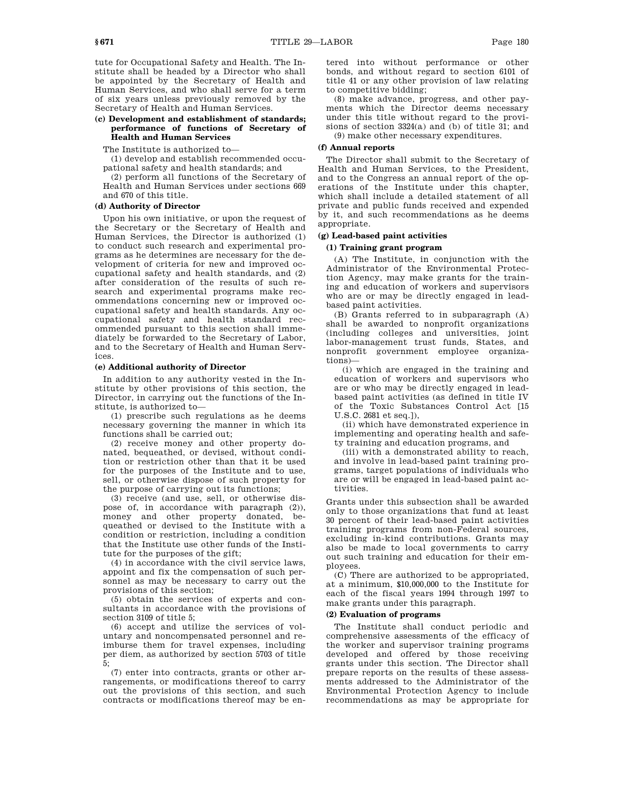tute for Occupational Safety and Health. The Institute shall be headed by a Director who shall be appointed by the Secretary of Health and Human Services, and who shall serve for a term of six years unless previously removed by the Secretary of Health and Human Services.

### **(c) Development and establishment of standards; performance of functions of Secretary of Health and Human Services**

The Institute is authorized to—

(1) develop and establish recommended occupational safety and health standards; and

(2) perform all functions of the Secretary of Health and Human Services under sections 669 and 670 of this title.

# **(d) Authority of Director**

Upon his own initiative, or upon the request of the Secretary or the Secretary of Health and Human Services, the Director is authorized (1) to conduct such research and experimental programs as he determines are necessary for the development of criteria for new and improved occupational safety and health standards, and (2) after consideration of the results of such research and experimental programs make recommendations concerning new or improved occupational safety and health standards. Any occupational safety and health standard recommended pursuant to this section shall immediately be forwarded to the Secretary of Labor, and to the Secretary of Health and Human Services.

#### **(e) Additional authority of Director**

In addition to any authority vested in the Institute by other provisions of this section, the Director, in carrying out the functions of the Institute, is authorized to—

(1) prescribe such regulations as he deems necessary governing the manner in which its functions shall be carried out;

(2) receive money and other property donated, bequeathed, or devised, without condition or restriction other than that it be used for the purposes of the Institute and to use, sell, or otherwise dispose of such property for the purpose of carrying out its functions;

(3) receive (and use, sell, or otherwise dispose of, in accordance with paragraph (2)), money and other property donated, bequeathed or devised to the Institute with a condition or restriction, including a condition that the Institute use other funds of the Institute for the purposes of the gift;

(4) in accordance with the civil service laws, appoint and fix the compensation of such personnel as may be necessary to carry out the provisions of this section;

(5) obtain the services of experts and consultants in accordance with the provisions of section 3109 of title 5;

(6) accept and utilize the services of voluntary and noncompensated personnel and reimburse them for travel expenses, including per diem, as authorized by section 5703 of title 5;

(7) enter into contracts, grants or other arrangements, or modifications thereof to carry out the provisions of this section, and such contracts or modifications thereof may be entered into without performance or other bonds, and without regard to section 6101 of title 41 or any other provision of law relating to competitive bidding;

(8) make advance, progress, and other payments which the Director deems necessary under this title without regard to the provisions of section 3324(a) and (b) of title 31; and (9) make other necessary expenditures.

### **(f) Annual reports**

The Director shall submit to the Secretary of Health and Human Services, to the President, and to the Congress an annual report of the operations of the Institute under this chapter, which shall include a detailed statement of all private and public funds received and expended by it, and such recommendations as he deems appropriate.

# **(g) Lead-based paint activities**

# **(1) Training grant program**

(A) The Institute, in conjunction with the Administrator of the Environmental Protection Agency, may make grants for the training and education of workers and supervisors who are or may be directly engaged in leadbased paint activities.

(B) Grants referred to in subparagraph (A) shall be awarded to nonprofit organizations (including colleges and universities, joint labor-management trust funds, States, and nonprofit government employee organizations)—

(i) which are engaged in the training and education of workers and supervisors who are or who may be directly engaged in leadbased paint activities (as defined in title IV of the Toxic Substances Control Act [15 U.S.C. 2681 et seq.]),

(ii) which have demonstrated experience in implementing and operating health and safety training and education programs, and

(iii) with a demonstrated ability to reach, and involve in lead-based paint training programs, target populations of individuals who are or will be engaged in lead-based paint activities.

Grants under this subsection shall be awarded only to those organizations that fund at least 30 percent of their lead-based paint activities training programs from non-Federal sources, excluding in-kind contributions. Grants may also be made to local governments to carry out such training and education for their employees.

(C) There are authorized to be appropriated, at a minimum, \$10,000,000 to the Institute for each of the fiscal years 1994 through 1997 to make grants under this paragraph.

### **(2) Evaluation of programs**

The Institute shall conduct periodic and comprehensive assessments of the efficacy of the worker and supervisor training programs developed and offered by those receiving grants under this section. The Director shall prepare reports on the results of these assessments addressed to the Administrator of the Environmental Protection Agency to include recommendations as may be appropriate for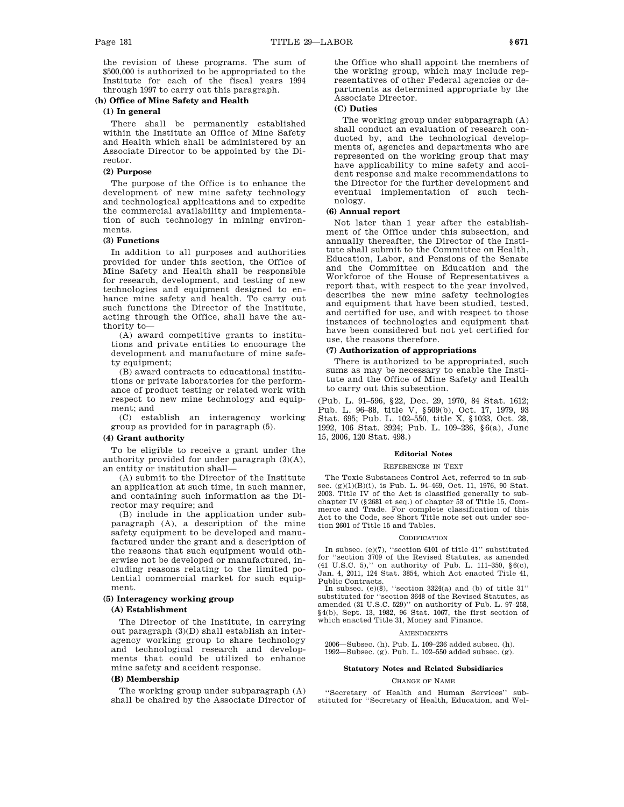the revision of these programs. The sum of \$500,000 is authorized to be appropriated to the Institute for each of the fiscal years 1994 through 1997 to carry out this paragraph.

### **(h) Office of Mine Safety and Health**

### **(1) In general**

There shall be permanently established within the Institute an Office of Mine Safety and Health which shall be administered by an Associate Director to be appointed by the Director.

### **(2) Purpose**

The purpose of the Office is to enhance the development of new mine safety technology and technological applications and to expedite the commercial availability and implementation of such technology in mining environments.

# **(3) Functions**

In addition to all purposes and authorities provided for under this section, the Office of Mine Safety and Health shall be responsible for research, development, and testing of new technologies and equipment designed to enhance mine safety and health. To carry out such functions the Director of the Institute, acting through the Office, shall have the authority to—

(A) award competitive grants to institutions and private entities to encourage the development and manufacture of mine safety equipment;

(B) award contracts to educational institutions or private laboratories for the performance of product testing or related work with respect to new mine technology and equipment; and

(C) establish an interagency working group as provided for in paragraph (5).

#### **(4) Grant authority**

To be eligible to receive a grant under the authority provided for under paragraph (3)(A), an entity or institution shall—

(A) submit to the Director of the Institute an application at such time, in such manner, and containing such information as the Director may require; and

(B) include in the application under subparagraph (A), a description of the mine safety equipment to be developed and manufactured under the grant and a description of the reasons that such equipment would otherwise not be developed or manufactured, including reasons relating to the limited potential commercial market for such equipment.

### **(5) Interagency working group**

### **(A) Establishment**

The Director of the Institute, in carrying out paragraph (3)(D) shall establish an interagency working group to share technology and technological research and developments that could be utilized to enhance mine safety and accident response.

### **(B) Membership**

The working group under subparagraph (A) shall be chaired by the Associate Director of the Office who shall appoint the members of the working group, which may include representatives of other Federal agencies or departments as determined appropriate by the Associate Director.

### **(C) Duties**

The working group under subparagraph (A) shall conduct an evaluation of research conducted by, and the technological developments of, agencies and departments who are represented on the working group that may have applicability to mine safety and accident response and make recommendations to the Director for the further development and eventual implementation of such technology.

#### **(6) Annual report**

Not later than 1 year after the establishment of the Office under this subsection, and annually thereafter, the Director of the Institute shall submit to the Committee on Health, Education, Labor, and Pensions of the Senate and the Committee on Education and the Workforce of the House of Representatives a report that, with respect to the year involved, describes the new mine safety technologies and equipment that have been studied, tested, and certified for use, and with respect to those instances of technologies and equipment that have been considered but not yet certified for use, the reasons therefore.

### **(7) Authorization of appropriations**

There is authorized to be appropriated, such sums as may be necessary to enable the Institute and the Office of Mine Safety and Health to carry out this subsection.

(Pub. L. 91–596, §22, Dec. 29, 1970, 84 Stat. 1612; Pub. L. 96–88, title V, §509(b), Oct. 17, 1979, 93 Stat. 695; Pub. L. 102–550, title X, §1033, Oct. 28, 1992, 106 Stat. 3924; Pub. L. 109–236, §6(a), June 15, 2006, 120 Stat. 498.)

#### **Editorial Notes**

#### REFERENCES IN TEXT

The Toxic Substances Control Act, referred to in subsec. (g)(1)(B)(i), is Pub. L. 94–469, Oct. 11, 1976, 90 Stat. 2003. Title IV of the Act is classified generally to subchapter IV (§2681 et seq.) of chapter 53 of Title 15, Commerce and Trade. For complete classification of this Act to the Code, see Short Title note set out under section 2601 of Title 15 and Tables.

#### **CODIFICATION**

In subsec. (e)(7), ''section 6101 of title 41'' substituted for ''section 3709 of the Revised Statutes, as amended (41 U.S.C. 5),'' on authority of Pub. L. 111–350, §6(c), Jan. 4, 2011, 124 Stat. 3854, which Act enacted Title 41, Public Contracts.

In subsec.  $(e)(8)$ , "section  $3324(a)$  and (b) of title  $31$ " substituted for ''section 3648 of the Revised Statutes, as amended (31 U.S.C. 529)'' on authority of Pub. L. 97–258, §4(b), Sept. 13, 1982, 96 Stat. 1067, the first section of which enacted Title 31, Money and Finance.

#### AMENDMENTS

2006—Subsec. (h). Pub. L. 109–236 added subsec. (h). 1992—Subsec. (g). Pub. L. 102–550 added subsec. (g).

### **Statutory Notes and Related Subsidiaries**

### CHANGE OF NAME

''Secretary of Health and Human Services'' sub-stituted for ''Secretary of Health, Education, and Wel-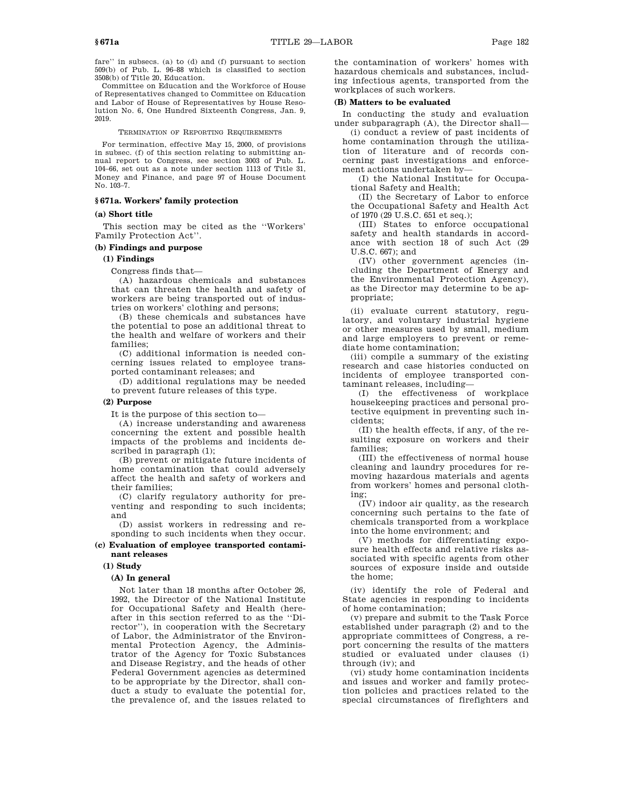fare'' in subsecs. (a) to (d) and (f) pursuant to section 509(b) of Pub. L. 96–88 which is classified to section 3508(b) of Title 20, Education.

Committee on Education and the Workforce of House of Representatives changed to Committee on Education and Labor of House of Representatives by House Resolution No. 6, One Hundred Sixteenth Congress, Jan. 9, 2019.

#### TERMINATION OF REPORTING REQUIREMENTS

For termination, effective May 15, 2000, of provisions in subsec. (f) of this section relating to submitting annual report to Congress, see section 3003 of Pub. L. 104–66, set out as a note under section 1113 of Title 31, Money and Finance, and page 97 of House Document No. 103–7.

# **§ 671a. Workers' family protection**

### **(a) Short title**

This section may be cited as the ''Workers' Family Protection Act''.

# **(b) Findings and purpose**

# **(1) Findings**

Congress finds that—

(A) hazardous chemicals and substances that can threaten the health and safety of workers are being transported out of industries on workers' clothing and persons;

(B) these chemicals and substances have the potential to pose an additional threat to the health and welfare of workers and their families;

(C) additional information is needed concerning issues related to employee transported contaminant releases; and

(D) additional regulations may be needed to prevent future releases of this type.

# **(2) Purpose**

It is the purpose of this section to—

(A) increase understanding and awareness concerning the extent and possible health impacts of the problems and incidents described in paragraph (1);

(B) prevent or mitigate future incidents of home contamination that could adversely affect the health and safety of workers and their families;

(C) clarify regulatory authority for preventing and responding to such incidents; and

(D) assist workers in redressing and responding to such incidents when they occur.

### **(c) Evaluation of employee transported contaminant releases**

### **(1) Study**

# **(A) In general**

Not later than 18 months after October 26, 1992, the Director of the National Institute for Occupational Safety and Health (hereafter in this section referred to as the ''Director''), in cooperation with the Secretary of Labor, the Administrator of the Environmental Protection Agency, the Administrator of the Agency for Toxic Substances and Disease Registry, and the heads of other Federal Government agencies as determined to be appropriate by the Director, shall conduct a study to evaluate the potential for, the prevalence of, and the issues related to

the contamination of workers' homes with hazardous chemicals and substances, including infectious agents, transported from the workplaces of such workers.

### **(B) Matters to be evaluated**

In conducting the study and evaluation under subparagraph (A), the Director shall—

(i) conduct a review of past incidents of home contamination through the utilization of literature and of records concerning past investigations and enforcement actions undertaken by—

(I) the National Institute for Occupational Safety and Health;

(II) the Secretary of Labor to enforce the Occupational Safety and Health Act of 1970 (29 U.S.C. 651 et seq.);

(III) States to enforce occupational safety and health standards in accordance with section 18 of such Act (29 U.S.C. 667); and

(IV) other government agencies (including the Department of Energy and the Environmental Protection Agency), as the Director may determine to be appropriate;

(ii) evaluate current statutory, regulatory, and voluntary industrial hygiene or other measures used by small, medium and large employers to prevent or remediate home contamination;

(iii) compile a summary of the existing research and case histories conducted on incidents of employee transported contaminant releases, including—

(I) the effectiveness of workplace housekeeping practices and personal protective equipment in preventing such incidents;

(II) the health effects, if any, of the resulting exposure on workers and their families;

(III) the effectiveness of normal house cleaning and laundry procedures for removing hazardous materials and agents from workers' homes and personal clothing;

(IV) indoor air quality, as the research concerning such pertains to the fate of chemicals transported from a workplace into the home environment; and

(V) methods for differentiating exposure health effects and relative risks associated with specific agents from other sources of exposure inside and outside the home;

(iv) identify the role of Federal and State agencies in responding to incidents of home contamination;

(v) prepare and submit to the Task Force established under paragraph (2) and to the appropriate committees of Congress, a report concerning the results of the matters studied or evaluated under clauses (i) through (iv); and

(vi) study home contamination incidents and issues and worker and family protection policies and practices related to the special circumstances of firefighters and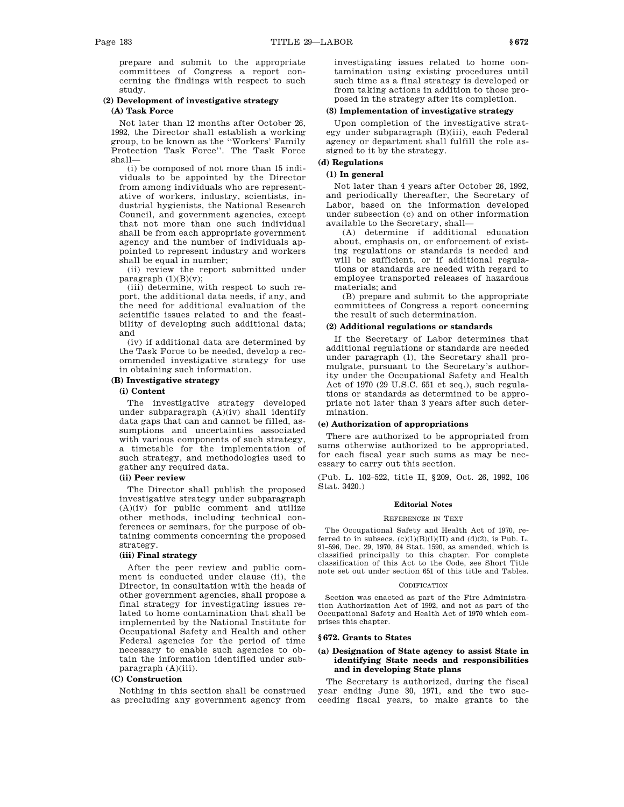prepare and submit to the appropriate committees of Congress a report concerning the findings with respect to such study.

# **(2) Development of investigative strategy**

# **(A) Task Force**

Not later than 12 months after October 26, 1992, the Director shall establish a working group, to be known as the ''Workers' Family Protection Task Force''. The Task Force shall—

(i) be composed of not more than 15 individuals to be appointed by the Director from among individuals who are representative of workers, industry, scientists, industrial hygienists, the National Research Council, and government agencies, except that not more than one such individual shall be from each appropriate government agency and the number of individuals appointed to represent industry and workers shall be equal in number;

(ii) review the report submitted under paragraph  $(1)(B)(v)$ ;

(iii) determine, with respect to such report, the additional data needs, if any, and the need for additional evaluation of the scientific issues related to and the feasibility of developing such additional data; and

(iv) if additional data are determined by the Task Force to be needed, develop a recommended investigative strategy for use in obtaining such information.

# **(B) Investigative strategy**

### **(i) Content**

The investigative strategy developed under subparagraph (A)(iv) shall identify data gaps that can and cannot be filled, assumptions and uncertainties associated with various components of such strategy, a timetable for the implementation of such strategy, and methodologies used to gather any required data.

#### **(ii) Peer review**

The Director shall publish the proposed investigative strategy under subparagraph (A)(iv) for public comment and utilize other methods, including technical conferences or seminars, for the purpose of obtaining comments concerning the proposed strategy.

### **(iii) Final strategy**

After the peer review and public comment is conducted under clause (ii), the Director, in consultation with the heads of other government agencies, shall propose a final strategy for investigating issues related to home contamination that shall be implemented by the National Institute for Occupational Safety and Health and other Federal agencies for the period of time necessary to enable such agencies to obtain the information identified under subparagraph (A)(iii).

# **(C) Construction**

Nothing in this section shall be construed as precluding any government agency from investigating issues related to home contamination using existing procedures until such time as a final strategy is developed or from taking actions in addition to those proposed in the strategy after its completion.

# **(3) Implementation of investigative strategy**

Upon completion of the investigative strategy under subparagraph (B)(iii), each Federal agency or department shall fulfill the role assigned to it by the strategy.

# **(d) Regulations**

# **(1) In general**

Not later than 4 years after October 26, 1992, and periodically thereafter, the Secretary of Labor, based on the information developed under subsection (c) and on other information available to the Secretary, shall—

(A) determine if additional education about, emphasis on, or enforcement of existing regulations or standards is needed and will be sufficient, or if additional regulations or standards are needed with regard to employee transported releases of hazardous materials; and

(B) prepare and submit to the appropriate committees of Congress a report concerning the result of such determination.

### **(2) Additional regulations or standards**

If the Secretary of Labor determines that additional regulations or standards are needed under paragraph (1), the Secretary shall promulgate, pursuant to the Secretary's authority under the Occupational Safety and Health Act of 1970 (29 U.S.C. 651 et seq.), such regulations or standards as determined to be appropriate not later than 3 years after such determination.

# **(e) Authorization of appropriations**

There are authorized to be appropriated from sums otherwise authorized to be appropriated, for each fiscal year such sums as may be necessary to carry out this section.

(Pub. L. 102–522, title II, §209, Oct. 26, 1992, 106 Stat. 3420.)

#### **Editorial Notes**

### REFERENCES IN TEXT

The Occupational Safety and Health Act of 1970, referred to in subsecs.  $(c)(1)(B)(i)(II)$  and  $(d)(2)$ , is Pub. L. 91–596, Dec. 29, 1970, 84 Stat. 1590, as amended, which is classified principally to this chapter. For complete classification of this Act to the Code, see Short Title note set out under section 651 of this title and Tables.

#### **CODIFICATION**

Section was enacted as part of the Fire Administration Authorization Act of 1992, and not as part of the Occupational Safety and Health Act of 1970 which comprises this chapter.

### **§ 672. Grants to States**

### **(a) Designation of State agency to assist State in identifying State needs and responsibilities and in developing State plans**

The Secretary is authorized, during the fiscal year ending June 30, 1971, and the two succeeding fiscal years, to make grants to the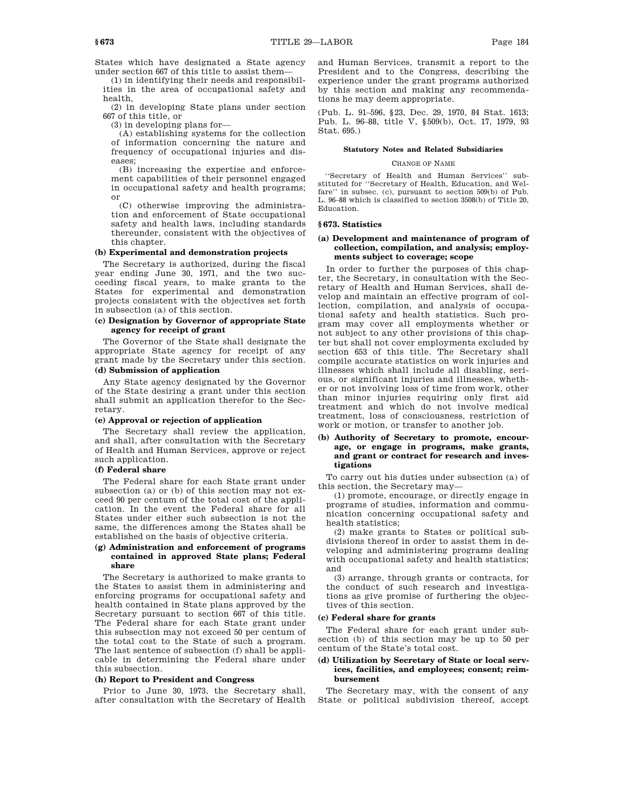States which have designated a State agency under section 667 of this title to assist them—

(1) in identifying their needs and responsibilities in the area of occupational safety and health,

(2) in developing State plans under section 667 of this title, or

(3) in developing plans for—

(A) establishing systems for the collection of information concerning the nature and frequency of occupational injuries and diseases;

(B) increasing the expertise and enforcement capabilities of their personnel engaged in occupational safety and health programs; or

(C) otherwise improving the administration and enforcement of State occupational safety and health laws, including standards thereunder, consistent with the objectives of this chapter.

### **(b) Experimental and demonstration projects**

The Secretary is authorized, during the fiscal year ending June 30, 1971, and the two succeeding fiscal years, to make grants to the States for experimental and demonstration projects consistent with the objectives set forth in subsection (a) of this section.

# **(c) Designation by Governor of appropriate State agency for receipt of grant**

The Governor of the State shall designate the appropriate State agency for receipt of any grant made by the Secretary under this section.

# **(d) Submission of application**

Any State agency designated by the Governor of the State desiring a grant under this section shall submit an application therefor to the Secretary.

### **(e) Approval or rejection of application**

The Secretary shall review the application, and shall, after consultation with the Secretary of Health and Human Services, approve or reject such application.

### **(f) Federal share**

The Federal share for each State grant under subsection (a) or (b) of this section may not exceed 90 per centum of the total cost of the application. In the event the Federal share for all States under either such subsection is not the same, the differences among the States shall be established on the basis of objective criteria.

# **(g) Administration and enforcement of programs contained in approved State plans; Federal share**

The Secretary is authorized to make grants to the States to assist them in administering and enforcing programs for occupational safety and health contained in State plans approved by the Secretary pursuant to section 667 of this title. The Federal share for each State grant under this subsection may not exceed 50 per centum of the total cost to the State of such a program. The last sentence of subsection (f) shall be applicable in determining the Federal share under this subsection.

### **(h) Report to President and Congress**

Prior to June 30, 1973, the Secretary shall, after consultation with the Secretary of Health and Human Services, transmit a report to the President and to the Congress, describing the experience under the grant programs authorized by this section and making any recommendations he may deem appropriate.

(Pub. L. 91–596, §23, Dec. 29, 1970, 84 Stat. 1613; Pub. L. 96–88, title V, §509(b), Oct. 17, 1979, 93 Stat. 695.)

### **Statutory Notes and Related Subsidiaries**

# CHANGE OF NAME

''Secretary of Health and Human Services'' substituted for "Secretary of Health, Education, and Welfare'' in subsec. (c), pursuant to section 509(b) of Pub. L. 96–88 which is classified to section 3508(b) of Title 20, Education.

# **§ 673. Statistics**

### **(a) Development and maintenance of program of collection, compilation, and analysis; employments subject to coverage; scope**

In order to further the purposes of this chapter, the Secretary, in consultation with the Secretary of Health and Human Services, shall develop and maintain an effective program of collection, compilation, and analysis of occupational safety and health statistics. Such program may cover all employments whether or not subject to any other provisions of this chapter but shall not cover employments excluded by section 653 of this title. The Secretary shall compile accurate statistics on work injuries and illnesses which shall include all disabling, serious, or significant injuries and illnesses, whether or not involving loss of time from work, other than minor injuries requiring only first aid treatment and which do not involve medical treatment, loss of consciousness, restriction of work or motion, or transfer to another job.

### **(b) Authority of Secretary to promote, encourage, or engage in programs, make grants, and grant or contract for research and investigations**

To carry out his duties under subsection (a) of this section, the Secretary may—

(1) promote, encourage, or directly engage in programs of studies, information and communication concerning occupational safety and health statistics;

(2) make grants to States or political subdivisions thereof in order to assist them in developing and administering programs dealing with occupational safety and health statistics; and

(3) arrange, through grants or contracts, for the conduct of such research and investigations as give promise of furthering the objectives of this section.

### **(c) Federal share for grants**

The Federal share for each grant under subsection (b) of this section may be up to 50 per centum of the State's total cost.

# **(d) Utilization by Secretary of State or local services, facilities, and employees; consent; reimbursement**

The Secretary may, with the consent of any State or political subdivision thereof, accept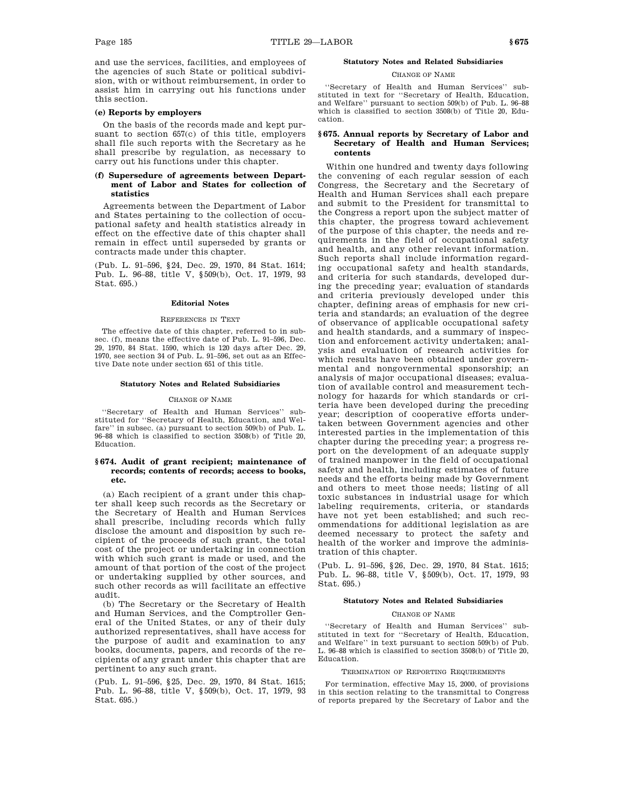and use the services, facilities, and employees of the agencies of such State or political subdivision, with or without reimbursement, in order to assist him in carrying out his functions under this section.

### **(e) Reports by employers**

On the basis of the records made and kept pursuant to section 657(c) of this title, employers shall file such reports with the Secretary as he shall prescribe by regulation, as necessary to carry out his functions under this chapter.

# **(f) Supersedure of agreements between Department of Labor and States for collection of statistics**

Agreements between the Department of Labor and States pertaining to the collection of occupational safety and health statistics already in effect on the effective date of this chapter shall remain in effect until superseded by grants or contracts made under this chapter.

(Pub. L. 91–596, §24, Dec. 29, 1970, 84 Stat. 1614; Pub. L. 96–88, title V, §509(b), Oct. 17, 1979, 93 Stat. 695.)

### **Editorial Notes**

#### REFERENCES IN TEXT

The effective date of this chapter, referred to in subsec. (f), means the effective date of Pub. L. 91–596, Dec. 29, 1970, 84 Stat. 1590, which is 120 days after Dec. 29, 1970, see section 34 of Pub. L. 91–596, set out as an Effective Date note under section 651 of this title.

#### **Statutory Notes and Related Subsidiaries**

#### CHANGE OF NAME

''Secretary of Health and Human Services'' substituted for ''Secretary of Health, Education, and Welfare'' in subsec. (a) pursuant to section 509(b) of Pub. L. 96–88 which is classified to section 3508(b) of Title 20, Education.

### **§ 674. Audit of grant recipient; maintenance of records; contents of records; access to books, etc.**

(a) Each recipient of a grant under this chapter shall keep such records as the Secretary or the Secretary of Health and Human Services shall prescribe, including records which fully disclose the amount and disposition by such recipient of the proceeds of such grant, the total cost of the project or undertaking in connection with which such grant is made or used, and the amount of that portion of the cost of the project or undertaking supplied by other sources, and such other records as will facilitate an effective audit.

(b) The Secretary or the Secretary of Health and Human Services, and the Comptroller General of the United States, or any of their duly authorized representatives, shall have access for the purpose of audit and examination to any books, documents, papers, and records of the recipients of any grant under this chapter that are pertinent to any such grant.

(Pub. L. 91–596, §25, Dec. 29, 1970, 84 Stat. 1615; Pub. L. 96–88, title V, §509(b), Oct. 17, 1979, 93 Stat. 695.)

### **Statutory Notes and Related Subsidiaries**

#### CHANGE OF NAME

''Secretary of Health and Human Services'' substituted in text for ''Secretary of Health, Education, and Welfare'' pursuant to section 509(b) of Pub. L. 96–88 which is classified to section 3508(b) of Title 20, Education.

# **§ 675. Annual reports by Secretary of Labor and Secretary of Health and Human Services; contents**

Within one hundred and twenty days following the convening of each regular session of each Congress, the Secretary and the Secretary of Health and Human Services shall each prepare and submit to the President for transmittal to the Congress a report upon the subject matter of this chapter, the progress toward achievement of the purpose of this chapter, the needs and requirements in the field of occupational safety and health, and any other relevant information. Such reports shall include information regarding occupational safety and health standards, and criteria for such standards, developed during the preceding year; evaluation of standards and criteria previously developed under this chapter, defining areas of emphasis for new criteria and standards; an evaluation of the degree of observance of applicable occupational safety and health standards, and a summary of inspection and enforcement activity undertaken; analysis and evaluation of research activities for which results have been obtained under governmental and nongovernmental sponsorship; an analysis of major occupational diseases; evaluation of available control and measurement technology for hazards for which standards or criteria have been developed during the preceding year; description of cooperative efforts undertaken between Government agencies and other interested parties in the implementation of this chapter during the preceding year; a progress report on the development of an adequate supply of trained manpower in the field of occupational safety and health, including estimates of future needs and the efforts being made by Government and others to meet those needs; listing of all toxic substances in industrial usage for which labeling requirements, criteria, or standards have not yet been established; and such recommendations for additional legislation as are deemed necessary to protect the safety and health of the worker and improve the administration of this chapter.

(Pub. L. 91–596, §26, Dec. 29, 1970, 84 Stat. 1615; Pub. L. 96–88, title V, §509(b), Oct. 17, 1979, 93 Stat. 695.)

#### **Statutory Notes and Related Subsidiaries**

### CHANGE OF NAME

''Secretary of Health and Human Services'' substituted in text for ''Secretary of Health, Education, and Welfare'' in text pursuant to section 509(b) of Pub. L. 96–88 which is classified to section 3508(b) of Title 20, Education.

### **ERMINATION OF REPORTING REQUIREMENTS**

For termination, effective May 15, 2000, of provisions in this section relating to the transmittal to Congress of reports prepared by the Secretary of Labor and the